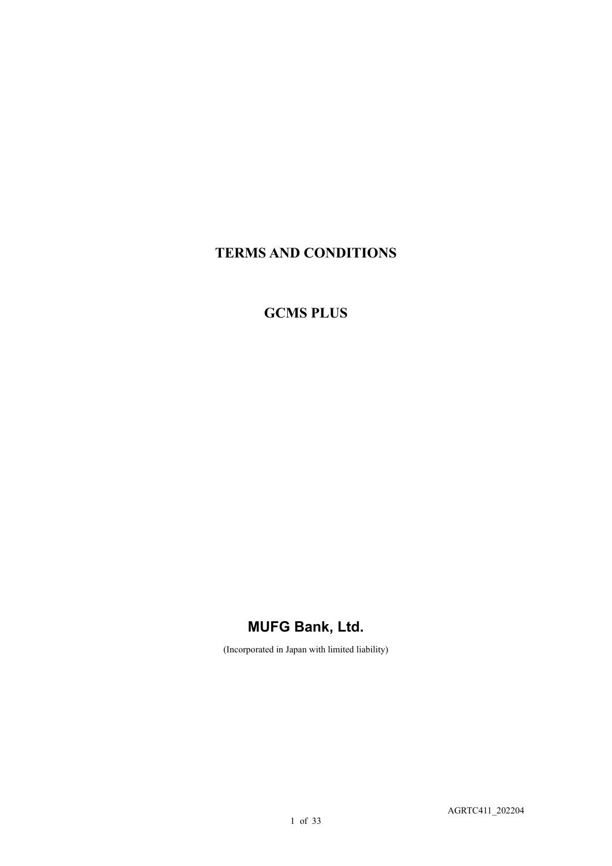## **TERMS AND CONDITIONS**

# **GCMS PLUS**

# **MUFG Bank, Ltd.**

(Incorporated in Japan with limited liability)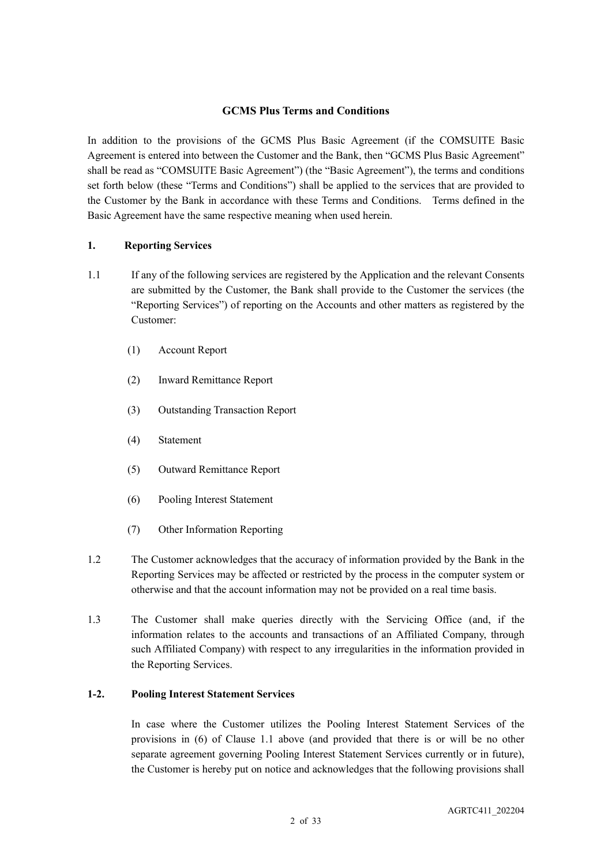#### **GCMS Plus Terms and Conditions**

In addition to the provisions of the GCMS Plus Basic Agreement (if the COMSUITE Basic Agreement is entered into between the Customer and the Bank, then "GCMS Plus Basic Agreement" shall be read as "COMSUITE Basic Agreement") (the "Basic Agreement"), the terms and conditions set forth below (these "Terms and Conditions") shall be applied to the services that are provided to the Customer by the Bank in accordance with these Terms and Conditions. Terms defined in the Basic Agreement have the same respective meaning when used herein.

#### **1. Reporting Services**

- 1.1 If any of the following services are registered by the Application and the relevant Consents are submitted by the Customer, the Bank shall provide to the Customer the services (the "Reporting Services") of reporting on the Accounts and other matters as registered by the Customer:
	- (1) Account Report
	- (2) Inward Remittance Report
	- (3) Outstanding Transaction Report
	- (4) Statement
	- (5) Outward Remittance Report
	- (6) Pooling Interest Statement
	- (7) Other Information Reporting
- 1.2 The Customer acknowledges that the accuracy of information provided by the Bank in the Reporting Services may be affected or restricted by the process in the computer system or otherwise and that the account information may not be provided on a real time basis.
- 1.3 The Customer shall make queries directly with the Servicing Office (and, if the information relates to the accounts and transactions of an Affiliated Company, through such Affiliated Company) with respect to any irregularities in the information provided in the Reporting Services.

### **1-2. Pooling Interest Statement Services**

In case where the Customer utilizes the Pooling Interest Statement Services of the provisions in (6) of Clause 1.1 above (and provided that there is or will be no other separate agreement governing Pooling Interest Statement Services currently or in future), the Customer is hereby put on notice and acknowledges that the following provisions shall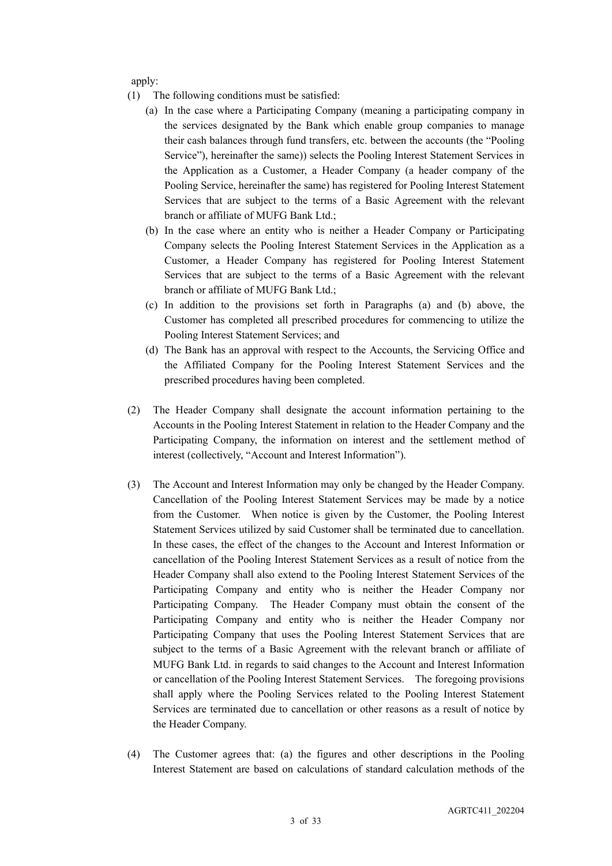apply:

- (1) The following conditions must be satisfied:
	- (a) In the case where a Participating Company (meaning a participating company in the services designated by the Bank which enable group companies to manage their cash balances through fund transfers, etc. between the accounts (the "Pooling Service"), hereinafter the same)) selects the Pooling Interest Statement Services in the Application as a Customer, a Header Company (a header company of the Pooling Service, hereinafter the same) has registered for Pooling Interest Statement Services that are subject to the terms of a Basic Agreement with the relevant branch or affiliate of MUFG Bank Ltd.;
	- (b) In the case where an entity who is neither a Header Company or Participating Company selects the Pooling Interest Statement Services in the Application as a Customer, a Header Company has registered for Pooling Interest Statement Services that are subject to the terms of a Basic Agreement with the relevant branch or affiliate of MUFG Bank Ltd.;
	- (c) In addition to the provisions set forth in Paragraphs (a) and (b) above, the Customer has completed all prescribed procedures for commencing to utilize the Pooling Interest Statement Services; and
	- (d) The Bank has an approval with respect to the Accounts, the Servicing Office and the Affiliated Company for the Pooling Interest Statement Services and the prescribed procedures having been completed.
- (2) The Header Company shall designate the account information pertaining to the Accounts in the Pooling Interest Statement in relation to the Header Company and the Participating Company, the information on interest and the settlement method of interest (collectively, "Account and Interest Information").
- (3) The Account and Interest Information may only be changed by the Header Company. Cancellation of the Pooling Interest Statement Services may be made by a notice from the Customer. When notice is given by the Customer, the Pooling Interest Statement Services utilized by said Customer shall be terminated due to cancellation. In these cases, the effect of the changes to the Account and Interest Information or cancellation of the Pooling Interest Statement Services as a result of notice from the Header Company shall also extend to the Pooling Interest Statement Services of the Participating Company and entity who is neither the Header Company nor Participating Company. The Header Company must obtain the consent of the Participating Company and entity who is neither the Header Company nor Participating Company that uses the Pooling Interest Statement Services that are subject to the terms of a Basic Agreement with the relevant branch or affiliate of MUFG Bank Ltd. in regards to said changes to the Account and Interest Information or cancellation of the Pooling Interest Statement Services. The foregoing provisions shall apply where the Pooling Services related to the Pooling Interest Statement Services are terminated due to cancellation or other reasons as a result of notice by the Header Company.
- (4) The Customer agrees that: (a) the figures and other descriptions in the Pooling Interest Statement are based on calculations of standard calculation methods of the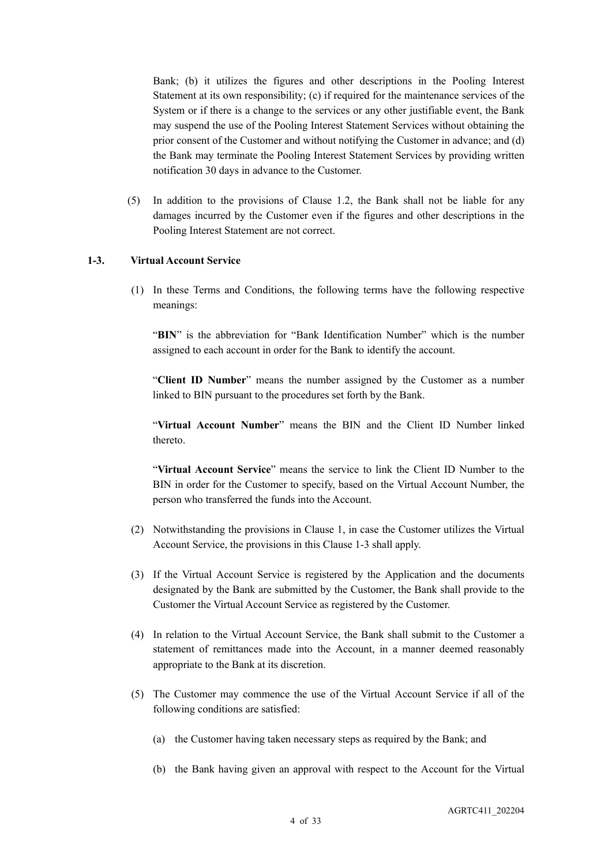Bank; (b) it utilizes the figures and other descriptions in the Pooling Interest Statement at its own responsibility; (c) if required for the maintenance services of the System or if there is a change to the services or any other justifiable event, the Bank may suspend the use of the Pooling Interest Statement Services without obtaining the prior consent of the Customer and without notifying the Customer in advance; and (d) the Bank may terminate the Pooling Interest Statement Services by providing written notification 30 days in advance to the Customer.

(5) In addition to the provisions of Clause 1.2, the Bank shall not be liable for any damages incurred by the Customer even if the figures and other descriptions in the Pooling Interest Statement are not correct.

#### **1-3. Virtual Account Service**

(1) In these Terms and Conditions, the following terms have the following respective meanings:

"BIN" is the abbreviation for "Bank Identification Number" which is the number assigned to each account in order for the Bank to identify the account.

"**Client ID Number**" means the number assigned by the Customer as a number linked to BIN pursuant to the procedures set forth by the Bank.

"**Virtual Account Number**" means the BIN and the Client ID Number linked thereto.

"**Virtual Account Service**" means the service to link the Client ID Number to the BIN in order for the Customer to specify, based on the Virtual Account Number, the person who transferred the funds into the Account.

- (2) Notwithstanding the provisions in Clause 1, in case the Customer utilizes the Virtual Account Service, the provisions in this Clause 1-3 shall apply.
- (3) If the Virtual Account Service is registered by the Application and the documents designated by the Bank are submitted by the Customer, the Bank shall provide to the Customer the Virtual Account Service as registered by the Customer.
- (4) In relation to the Virtual Account Service, the Bank shall submit to the Customer a statement of remittances made into the Account, in a manner deemed reasonably appropriate to the Bank at its discretion.
- (5) The Customer may commence the use of the Virtual Account Service if all of the following conditions are satisfied:
	- (a) the Customer having taken necessary steps as required by the Bank; and
	- (b) the Bank having given an approval with respect to the Account for the Virtual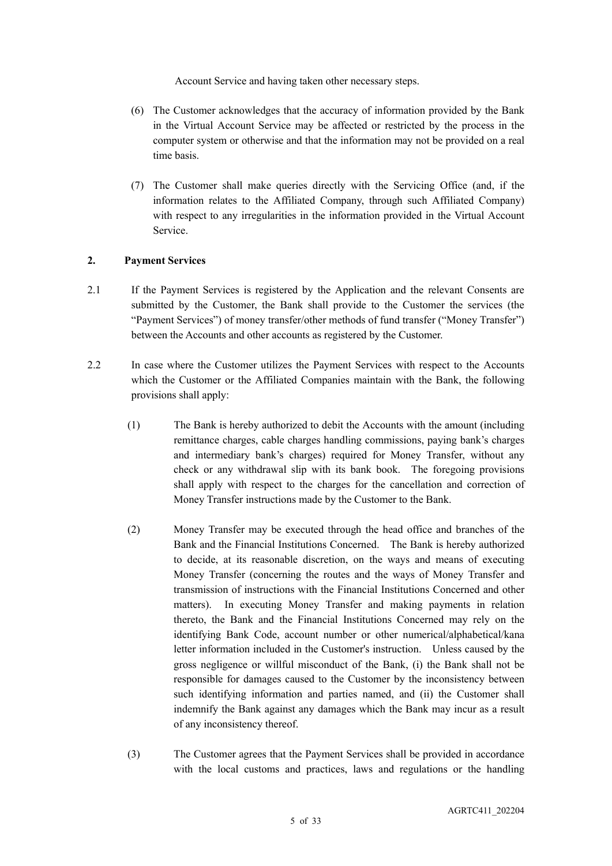Account Service and having taken other necessary steps.

- (6) The Customer acknowledges that the accuracy of information provided by the Bank in the Virtual Account Service may be affected or restricted by the process in the computer system or otherwise and that the information may not be provided on a real time basis.
- (7) The Customer shall make queries directly with the Servicing Office (and, if the information relates to the Affiliated Company, through such Affiliated Company) with respect to any irregularities in the information provided in the Virtual Account Service.

#### **2. Payment Services**

- 2.1 If the Payment Services is registered by the Application and the relevant Consents are submitted by the Customer, the Bank shall provide to the Customer the services (the "Payment Services") of money transfer/other methods of fund transfer ("Money Transfer") between the Accounts and other accounts as registered by the Customer.
- 2.2 In case where the Customer utilizes the Payment Services with respect to the Accounts which the Customer or the Affiliated Companies maintain with the Bank, the following provisions shall apply:
	- (1) The Bank is hereby authorized to debit the Accounts with the amount (including remittance charges, cable charges handling commissions, paying bank's charges and intermediary bank's charges) required for Money Transfer, without any check or any withdrawal slip with its bank book. The foregoing provisions shall apply with respect to the charges for the cancellation and correction of Money Transfer instructions made by the Customer to the Bank.
	- (2) Money Transfer may be executed through the head office and branches of the Bank and the Financial Institutions Concerned. The Bank is hereby authorized to decide, at its reasonable discretion, on the ways and means of executing Money Transfer (concerning the routes and the ways of Money Transfer and transmission of instructions with the Financial Institutions Concerned and other matters). In executing Money Transfer and making payments in relation thereto, the Bank and the Financial Institutions Concerned may rely on the identifying Bank Code, account number or other numerical/alphabetical/kana letter information included in the Customer's instruction. Unless caused by the gross negligence or willful misconduct of the Bank, (i) the Bank shall not be responsible for damages caused to the Customer by the inconsistency between such identifying information and parties named, and (ii) the Customer shall indemnify the Bank against any damages which the Bank may incur as a result of any inconsistency thereof.
	- (3) The Customer agrees that the Payment Services shall be provided in accordance with the local customs and practices, laws and regulations or the handling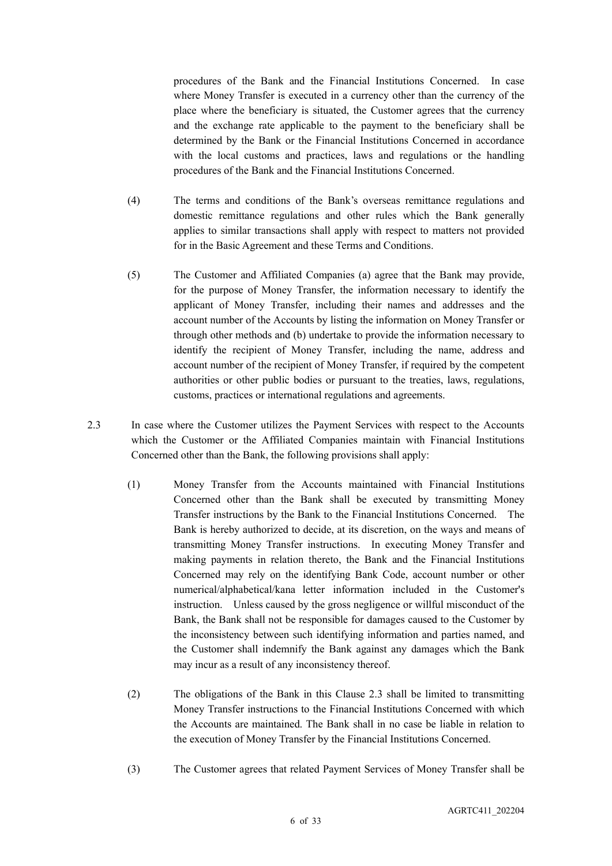procedures of the Bank and the Financial Institutions Concerned. In case where Money Transfer is executed in a currency other than the currency of the place where the beneficiary is situated, the Customer agrees that the currency and the exchange rate applicable to the payment to the beneficiary shall be determined by the Bank or the Financial Institutions Concerned in accordance with the local customs and practices, laws and regulations or the handling procedures of the Bank and the Financial Institutions Concerned.

- (4) The terms and conditions of the Bank's overseas remittance regulations and domestic remittance regulations and other rules which the Bank generally applies to similar transactions shall apply with respect to matters not provided for in the Basic Agreement and these Terms and Conditions.
- (5) The Customer and Affiliated Companies (a) agree that the Bank may provide, for the purpose of Money Transfer, the information necessary to identify the applicant of Money Transfer, including their names and addresses and the account number of the Accounts by listing the information on Money Transfer or through other methods and (b) undertake to provide the information necessary to identify the recipient of Money Transfer, including the name, address and account number of the recipient of Money Transfer, if required by the competent authorities or other public bodies or pursuant to the treaties, laws, regulations, customs, practices or international regulations and agreements.
- 2.3 In case where the Customer utilizes the Payment Services with respect to the Accounts which the Customer or the Affiliated Companies maintain with Financial Institutions Concerned other than the Bank, the following provisions shall apply:
	- (1) Money Transfer from the Accounts maintained with Financial Institutions Concerned other than the Bank shall be executed by transmitting Money Transfer instructions by the Bank to the Financial Institutions Concerned. The Bank is hereby authorized to decide, at its discretion, on the ways and means of transmitting Money Transfer instructions. In executing Money Transfer and making payments in relation thereto, the Bank and the Financial Institutions Concerned may rely on the identifying Bank Code, account number or other numerical/alphabetical/kana letter information included in the Customer's instruction. Unless caused by the gross negligence or willful misconduct of the Bank, the Bank shall not be responsible for damages caused to the Customer by the inconsistency between such identifying information and parties named, and the Customer shall indemnify the Bank against any damages which the Bank may incur as a result of any inconsistency thereof.
	- (2) The obligations of the Bank in this Clause 2.3 shall be limited to transmitting Money Transfer instructions to the Financial Institutions Concerned with which the Accounts are maintained. The Bank shall in no case be liable in relation to the execution of Money Transfer by the Financial Institutions Concerned.
	- (3) The Customer agrees that related Payment Services of Money Transfer shall be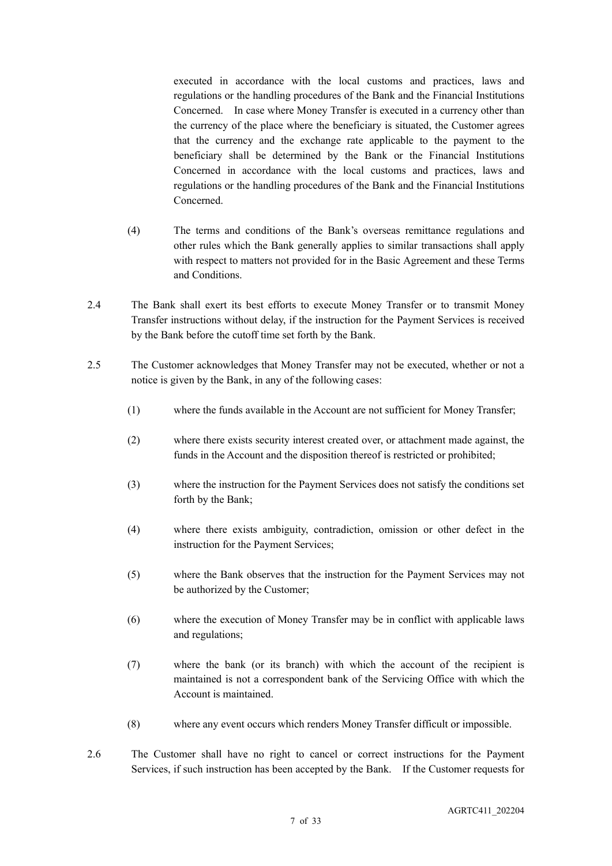executed in accordance with the local customs and practices, laws and regulations or the handling procedures of the Bank and the Financial Institutions Concerned. In case where Money Transfer is executed in a currency other than the currency of the place where the beneficiary is situated, the Customer agrees that the currency and the exchange rate applicable to the payment to the beneficiary shall be determined by the Bank or the Financial Institutions Concerned in accordance with the local customs and practices, laws and regulations or the handling procedures of the Bank and the Financial Institutions Concerned.

- (4) The terms and conditions of the Bank's overseas remittance regulations and other rules which the Bank generally applies to similar transactions shall apply with respect to matters not provided for in the Basic Agreement and these Terms and Conditions.
- 2.4 The Bank shall exert its best efforts to execute Money Transfer or to transmit Money Transfer instructions without delay, if the instruction for the Payment Services is received by the Bank before the cutoff time set forth by the Bank.
- 2.5 The Customer acknowledges that Money Transfer may not be executed, whether or not a notice is given by the Bank, in any of the following cases:
	- (1) where the funds available in the Account are not sufficient for Money Transfer;
	- (2) where there exists security interest created over, or attachment made against, the funds in the Account and the disposition thereof is restricted or prohibited;
	- (3) where the instruction for the Payment Services does not satisfy the conditions set forth by the Bank;
	- (4) where there exists ambiguity, contradiction, omission or other defect in the instruction for the Payment Services;
	- (5) where the Bank observes that the instruction for the Payment Services may not be authorized by the Customer;
	- (6) where the execution of Money Transfer may be in conflict with applicable laws and regulations;
	- (7) where the bank (or its branch) with which the account of the recipient is maintained is not a correspondent bank of the Servicing Office with which the Account is maintained.
	- (8) where any event occurs which renders Money Transfer difficult or impossible.
- 2.6 The Customer shall have no right to cancel or correct instructions for the Payment Services, if such instruction has been accepted by the Bank. If the Customer requests for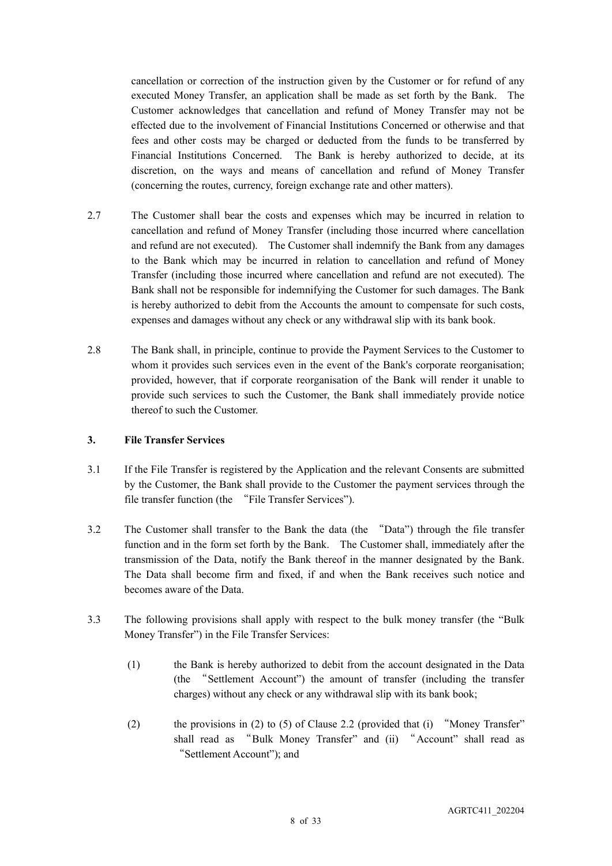cancellation or correction of the instruction given by the Customer or for refund of any executed Money Transfer, an application shall be made as set forth by the Bank. The Customer acknowledges that cancellation and refund of Money Transfer may not be effected due to the involvement of Financial Institutions Concerned or otherwise and that fees and other costs may be charged or deducted from the funds to be transferred by Financial Institutions Concerned. The Bank is hereby authorized to decide, at its discretion, on the ways and means of cancellation and refund of Money Transfer (concerning the routes, currency, foreign exchange rate and other matters).

- 2.7 The Customer shall bear the costs and expenses which may be incurred in relation to cancellation and refund of Money Transfer (including those incurred where cancellation and refund are not executed). The Customer shall indemnify the Bank from any damages to the Bank which may be incurred in relation to cancellation and refund of Money Transfer (including those incurred where cancellation and refund are not executed). The Bank shall not be responsible for indemnifying the Customer for such damages. The Bank is hereby authorized to debit from the Accounts the amount to compensate for such costs, expenses and damages without any check or any withdrawal slip with its bank book.
- 2.8 The Bank shall, in principle, continue to provide the Payment Services to the Customer to whom it provides such services even in the event of the Bank's corporate reorganisation; provided, however, that if corporate reorganisation of the Bank will render it unable to provide such services to such the Customer, the Bank shall immediately provide notice thereof to such the Customer.

#### **3. File Transfer Services**

- 3.1 If the File Transfer is registered by the Application and the relevant Consents are submitted by the Customer, the Bank shall provide to the Customer the payment services through the file transfer function (the "File Transfer Services").
- 3.2 The Customer shall transfer to the Bank the data (the "Data") through the file transfer function and in the form set forth by the Bank. The Customer shall, immediately after the transmission of the Data, notify the Bank thereof in the manner designated by the Bank. The Data shall become firm and fixed, if and when the Bank receives such notice and becomes aware of the Data.
- 3.3 The following provisions shall apply with respect to the bulk money transfer (the "Bulk Money Transfer") in the File Transfer Services:
	- (1) the Bank is hereby authorized to debit from the account designated in the Data (the "Settlement Account") the amount of transfer (including the transfer charges) without any check or any withdrawal slip with its bank book;
	- (2) the provisions in (2) to (5) of Clause 2.2 (provided that (i) "Money Transfer" shall read as "Bulk Money Transfer" and (ii) "Account" shall read as "Settlement Account"); and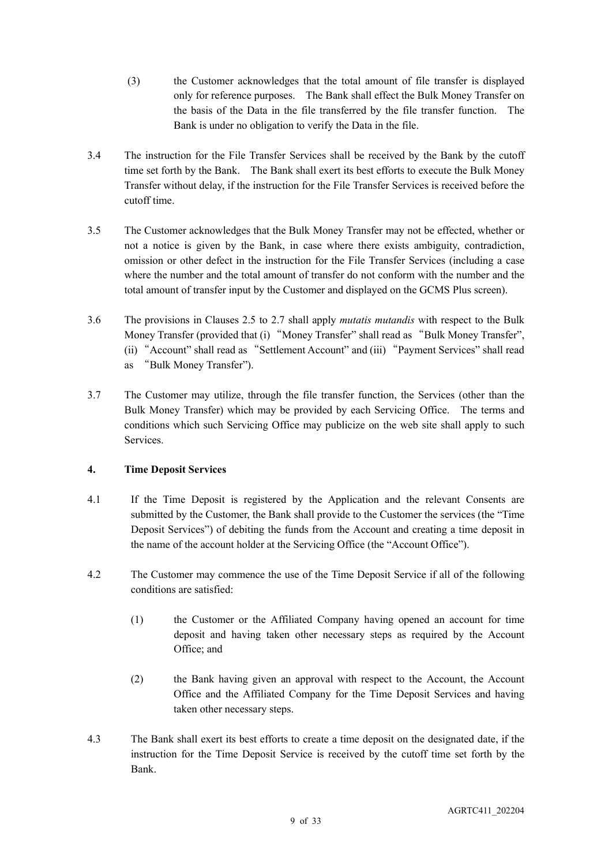- (3) the Customer acknowledges that the total amount of file transfer is displayed only for reference purposes. The Bank shall effect the Bulk Money Transfer on the basis of the Data in the file transferred by the file transfer function. The Bank is under no obligation to verify the Data in the file.
- 3.4 The instruction for the File Transfer Services shall be received by the Bank by the cutoff time set forth by the Bank. The Bank shall exert its best efforts to execute the Bulk Money Transfer without delay, if the instruction for the File Transfer Services is received before the cutoff time.
- 3.5 The Customer acknowledges that the Bulk Money Transfer may not be effected, whether or not a notice is given by the Bank, in case where there exists ambiguity, contradiction, omission or other defect in the instruction for the File Transfer Services (including a case where the number and the total amount of transfer do not conform with the number and the total amount of transfer input by the Customer and displayed on the GCMS Plus screen).
- 3.6 The provisions in Clauses 2.5 to 2.7 shall apply *mutatis mutandis* with respect to the Bulk Money Transfer (provided that (i) "Money Transfer" shall read as "Bulk Money Transfer", (ii) "Account" shall read as "Settlement Account" and (iii) "Payment Services" shall read as "Bulk Money Transfer").
- 3.7 The Customer may utilize, through the file transfer function, the Services (other than the Bulk Money Transfer) which may be provided by each Servicing Office. The terms and conditions which such Servicing Office may publicize on the web site shall apply to such Services.

## **4. Time Deposit Services**

- 4.1 If the Time Deposit is registered by the Application and the relevant Consents are submitted by the Customer, the Bank shall provide to the Customer the services (the "Time Deposit Services") of debiting the funds from the Account and creating a time deposit in the name of the account holder at the Servicing Office (the "Account Office").
- 4.2 The Customer may commence the use of the Time Deposit Service if all of the following conditions are satisfied:
	- (1) the Customer or the Affiliated Company having opened an account for time deposit and having taken other necessary steps as required by the Account Office; and
	- (2) the Bank having given an approval with respect to the Account, the Account Office and the Affiliated Company for the Time Deposit Services and having taken other necessary steps.
- 4.3 The Bank shall exert its best efforts to create a time deposit on the designated date, if the instruction for the Time Deposit Service is received by the cutoff time set forth by the Bank.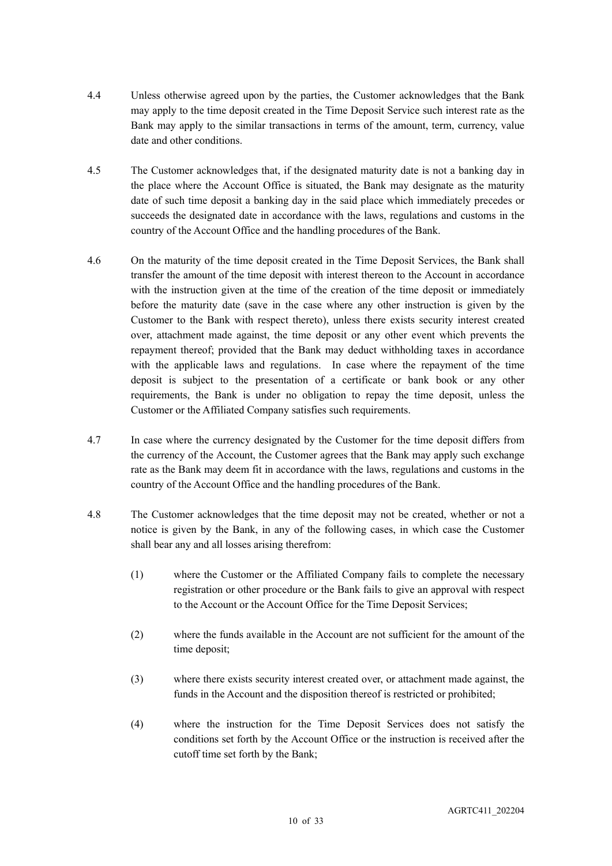- 4.4 Unless otherwise agreed upon by the parties, the Customer acknowledges that the Bank may apply to the time deposit created in the Time Deposit Service such interest rate as the Bank may apply to the similar transactions in terms of the amount, term, currency, value date and other conditions.
- 4.5 The Customer acknowledges that, if the designated maturity date is not a banking day in the place where the Account Office is situated, the Bank may designate as the maturity date of such time deposit a banking day in the said place which immediately precedes or succeeds the designated date in accordance with the laws, regulations and customs in the country of the Account Office and the handling procedures of the Bank.
- 4.6 On the maturity of the time deposit created in the Time Deposit Services, the Bank shall transfer the amount of the time deposit with interest thereon to the Account in accordance with the instruction given at the time of the creation of the time deposit or immediately before the maturity date (save in the case where any other instruction is given by the Customer to the Bank with respect thereto), unless there exists security interest created over, attachment made against, the time deposit or any other event which prevents the repayment thereof; provided that the Bank may deduct withholding taxes in accordance with the applicable laws and regulations. In case where the repayment of the time deposit is subject to the presentation of a certificate or bank book or any other requirements, the Bank is under no obligation to repay the time deposit, unless the Customer or the Affiliated Company satisfies such requirements.
- 4.7 In case where the currency designated by the Customer for the time deposit differs from the currency of the Account, the Customer agrees that the Bank may apply such exchange rate as the Bank may deem fit in accordance with the laws, regulations and customs in the country of the Account Office and the handling procedures of the Bank.
- 4.8 The Customer acknowledges that the time deposit may not be created, whether or not a notice is given by the Bank, in any of the following cases, in which case the Customer shall bear any and all losses arising therefrom:
	- (1) where the Customer or the Affiliated Company fails to complete the necessary registration or other procedure or the Bank fails to give an approval with respect to the Account or the Account Office for the Time Deposit Services;
	- (2) where the funds available in the Account are not sufficient for the amount of the time deposit;
	- (3) where there exists security interest created over, or attachment made against, the funds in the Account and the disposition thereof is restricted or prohibited;
	- (4) where the instruction for the Time Deposit Services does not satisfy the conditions set forth by the Account Office or the instruction is received after the cutoff time set forth by the Bank;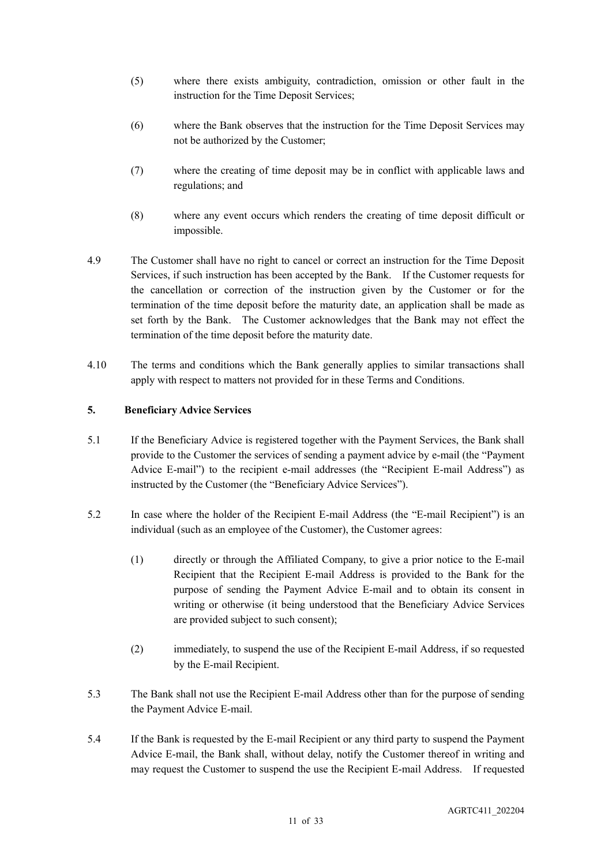- (5) where there exists ambiguity, contradiction, omission or other fault in the instruction for the Time Deposit Services;
- (6) where the Bank observes that the instruction for the Time Deposit Services may not be authorized by the Customer;
- (7) where the creating of time deposit may be in conflict with applicable laws and regulations; and
- (8) where any event occurs which renders the creating of time deposit difficult or impossible.
- 4.9 The Customer shall have no right to cancel or correct an instruction for the Time Deposit Services, if such instruction has been accepted by the Bank. If the Customer requests for the cancellation or correction of the instruction given by the Customer or for the termination of the time deposit before the maturity date, an application shall be made as set forth by the Bank. The Customer acknowledges that the Bank may not effect the termination of the time deposit before the maturity date.
- 4.10 The terms and conditions which the Bank generally applies to similar transactions shall apply with respect to matters not provided for in these Terms and Conditions.

### **5. Beneficiary Advice Services**

- 5.1 If the Beneficiary Advice is registered together with the Payment Services, the Bank shall provide to the Customer the services of sending a payment advice by e-mail (the "Payment Advice E-mail") to the recipient e-mail addresses (the "Recipient E-mail Address") as instructed by the Customer (the "Beneficiary Advice Services").
- 5.2 In case where the holder of the Recipient E-mail Address (the "E-mail Recipient") is an individual (such as an employee of the Customer), the Customer agrees:
	- (1) directly or through the Affiliated Company, to give a prior notice to the E-mail Recipient that the Recipient E-mail Address is provided to the Bank for the purpose of sending the Payment Advice E-mail and to obtain its consent in writing or otherwise (it being understood that the Beneficiary Advice Services are provided subject to such consent);
	- (2) immediately, to suspend the use of the Recipient E-mail Address, if so requested by the E-mail Recipient.
- 5.3 The Bank shall not use the Recipient E-mail Address other than for the purpose of sending the Payment Advice E-mail.
- 5.4 If the Bank is requested by the E-mail Recipient or any third party to suspend the Payment Advice E-mail, the Bank shall, without delay, notify the Customer thereof in writing and may request the Customer to suspend the use the Recipient E-mail Address. If requested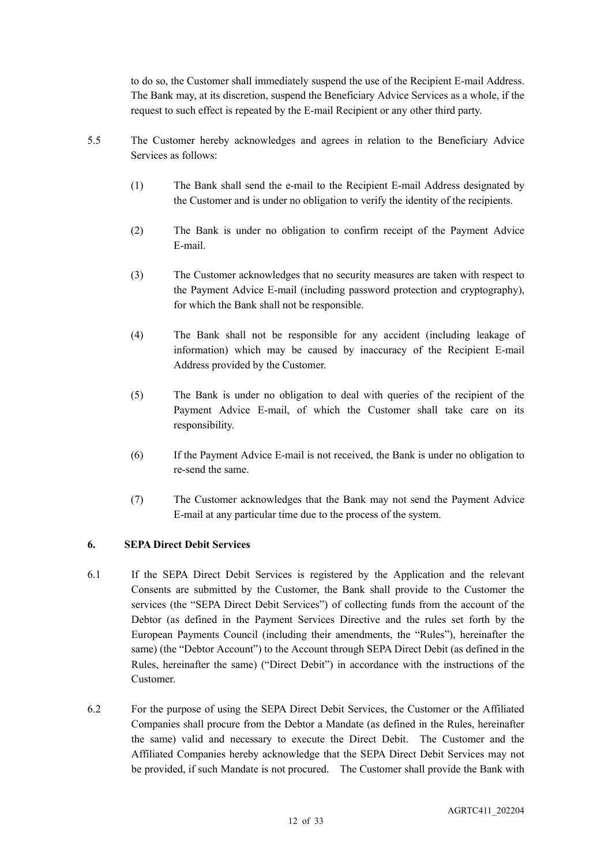to do so, the Customer shall immediately suspend the use of the Recipient E-mail Address. The Bank may, at its discretion, suspend the Beneficiary Advice Services as a whole, if the request to such effect is repeated by the E-mail Recipient or any other third party.

- 5.5 The Customer hereby acknowledges and agrees in relation to the Beneficiary Advice Services as follows:
	- (1) The Bank shall send the e-mail to the Recipient E-mail Address designated by the Customer and is under no obligation to verify the identity of the recipients.
	- (2) The Bank is under no obligation to confirm receipt of the Payment Advice E-mail.
	- (3) The Customer acknowledges that no security measures are taken with respect to the Payment Advice E-mail (including password protection and cryptography), for which the Bank shall not be responsible.
	- (4) The Bank shall not be responsible for any accident (including leakage of information) which may be caused by inaccuracy of the Recipient E-mail Address provided by the Customer.
	- (5) The Bank is under no obligation to deal with queries of the recipient of the Payment Advice E-mail, of which the Customer shall take care on its responsibility.
	- (6) If the Payment Advice E-mail is not received, the Bank is under no obligation to re-send the same.
	- (7) The Customer acknowledges that the Bank may not send the Payment Advice E-mail at any particular time due to the process of the system.

## **6. SEPA Direct Debit Services**

- 6.1 If the SEPA Direct Debit Services is registered by the Application and the relevant Consents are submitted by the Customer, the Bank shall provide to the Customer the services (the "SEPA Direct Debit Services") of collecting funds from the account of the Debtor (as defined in the Payment Services Directive and the rules set forth by the European Payments Council (including their amendments, the "Rules"), hereinafter the same) (the "Debtor Account") to the Account through SEPA Direct Debit (as defined in the Rules, hereinafter the same) ("Direct Debit") in accordance with the instructions of the Customer.
- 6.2 For the purpose of using the SEPA Direct Debit Services, the Customer or the Affiliated Companies shall procure from the Debtor a Mandate (as defined in the Rules, hereinafter the same) valid and necessary to execute the Direct Debit. The Customer and the Affiliated Companies hereby acknowledge that the SEPA Direct Debit Services may not be provided, if such Mandate is not procured. The Customer shall provide the Bank with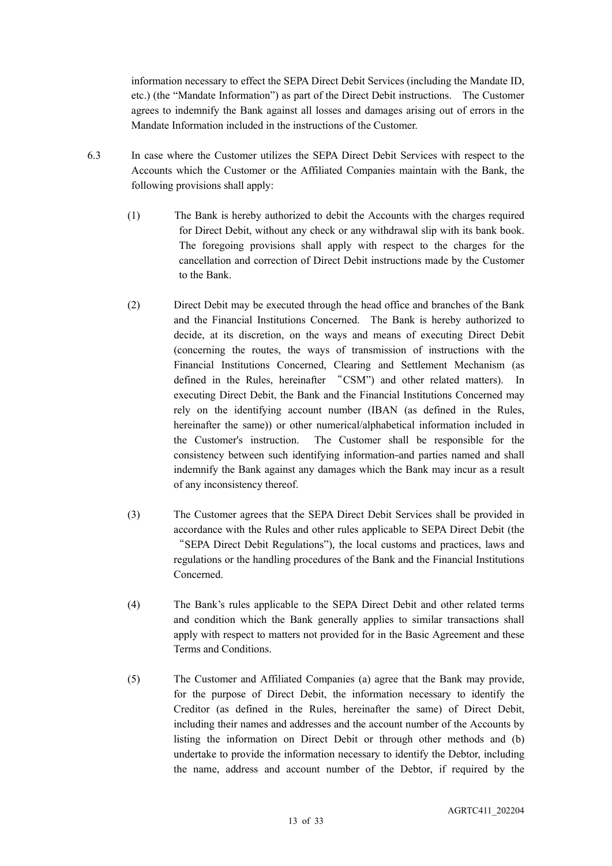information necessary to effect the SEPA Direct Debit Services (including the Mandate ID, etc.) (the "Mandate Information") as part of the Direct Debit instructions. The Customer agrees to indemnify the Bank against all losses and damages arising out of errors in the Mandate Information included in the instructions of the Customer.

- 6.3 In case where the Customer utilizes the SEPA Direct Debit Services with respect to the Accounts which the Customer or the Affiliated Companies maintain with the Bank, the following provisions shall apply:
	- (1) The Bank is hereby authorized to debit the Accounts with the charges required for Direct Debit, without any check or any withdrawal slip with its bank book. The foregoing provisions shall apply with respect to the charges for the cancellation and correction of Direct Debit instructions made by the Customer to the Bank.
	- (2) Direct Debit may be executed through the head office and branches of the Bank and the Financial Institutions Concerned. The Bank is hereby authorized to decide, at its discretion, on the ways and means of executing Direct Debit (concerning the routes, the ways of transmission of instructions with the Financial Institutions Concerned, Clearing and Settlement Mechanism (as defined in the Rules, hereinafter "CSM") and other related matters). In executing Direct Debit, the Bank and the Financial Institutions Concerned may rely on the identifying account number (IBAN (as defined in the Rules, hereinafter the same)) or other numerical/alphabetical information included in the Customer's instruction. The Customer shall be responsible for the consistency between such identifying information and parties named and shall indemnify the Bank against any damages which the Bank may incur as a result of any inconsistency thereof.
	- (3) The Customer agrees that the SEPA Direct Debit Services shall be provided in accordance with the Rules and other rules applicable to SEPA Direct Debit (the "SEPA Direct Debit Regulations"), the local customs and practices, laws and regulations or the handling procedures of the Bank and the Financial Institutions Concerned.
	- (4) The Bank's rules applicable to the SEPA Direct Debit and other related terms and condition which the Bank generally applies to similar transactions shall apply with respect to matters not provided for in the Basic Agreement and these Terms and Conditions.
	- (5) The Customer and Affiliated Companies (a) agree that the Bank may provide, for the purpose of Direct Debit, the information necessary to identify the Creditor (as defined in the Rules, hereinafter the same) of Direct Debit, including their names and addresses and the account number of the Accounts by listing the information on Direct Debit or through other methods and (b) undertake to provide the information necessary to identify the Debtor, including the name, address and account number of the Debtor, if required by the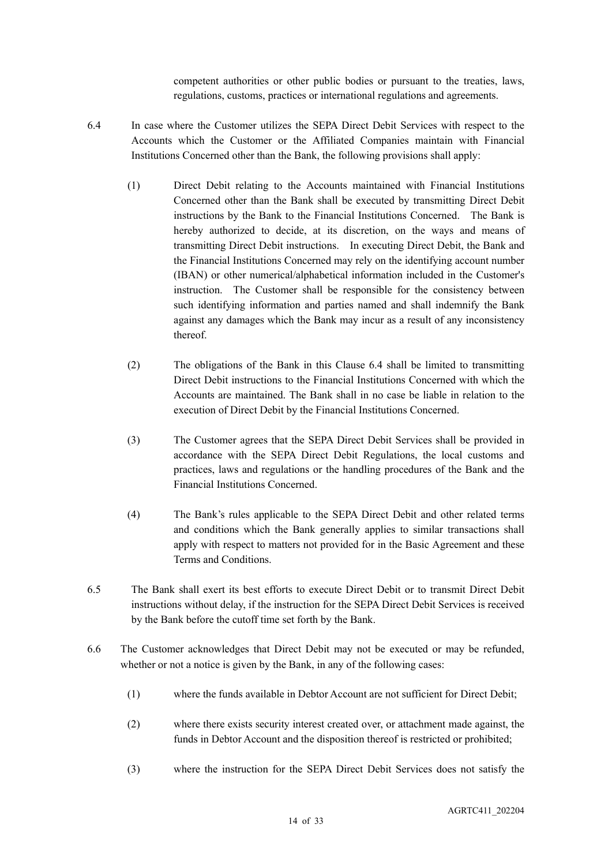competent authorities or other public bodies or pursuant to the treaties, laws, regulations, customs, practices or international regulations and agreements.

- 6.4 In case where the Customer utilizes the SEPA Direct Debit Services with respect to the Accounts which the Customer or the Affiliated Companies maintain with Financial Institutions Concerned other than the Bank, the following provisions shall apply:
	- (1) Direct Debit relating to the Accounts maintained with Financial Institutions Concerned other than the Bank shall be executed by transmitting Direct Debit instructions by the Bank to the Financial Institutions Concerned. The Bank is hereby authorized to decide, at its discretion, on the ways and means of transmitting Direct Debit instructions. In executing Direct Debit, the Bank and the Financial Institutions Concerned may rely on the identifying account number (IBAN) or other numerical/alphabetical information included in the Customer's instruction. The Customer shall be responsible for the consistency between such identifying information and parties named and shall indemnify the Bank against any damages which the Bank may incur as a result of any inconsistency thereof.
	- (2) The obligations of the Bank in this Clause 6.4 shall be limited to transmitting Direct Debit instructions to the Financial Institutions Concerned with which the Accounts are maintained. The Bank shall in no case be liable in relation to the execution of Direct Debit by the Financial Institutions Concerned.
	- (3) The Customer agrees that the SEPA Direct Debit Services shall be provided in accordance with the SEPA Direct Debit Regulations, the local customs and practices, laws and regulations or the handling procedures of the Bank and the Financial Institutions Concerned.
	- (4) The Bank's rules applicable to the SEPA Direct Debit and other related terms and conditions which the Bank generally applies to similar transactions shall apply with respect to matters not provided for in the Basic Agreement and these Terms and Conditions.
- 6.5 The Bank shall exert its best efforts to execute Direct Debit or to transmit Direct Debit instructions without delay, if the instruction for the SEPA Direct Debit Services is received by the Bank before the cutoff time set forth by the Bank.
- 6.6 The Customer acknowledges that Direct Debit may not be executed or may be refunded, whether or not a notice is given by the Bank, in any of the following cases:
	- (1) where the funds available in Debtor Account are not sufficient for Direct Debit;
	- (2) where there exists security interest created over, or attachment made against, the funds in Debtor Account and the disposition thereof is restricted or prohibited;
	- (3) where the instruction for the SEPA Direct Debit Services does not satisfy the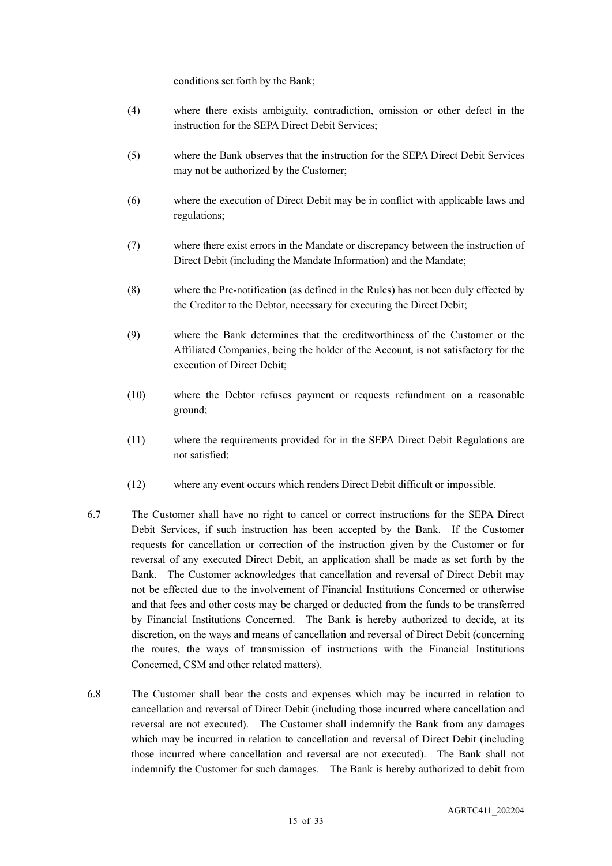conditions set forth by the Bank;

- (4) where there exists ambiguity, contradiction, omission or other defect in the instruction for the SEPA Direct Debit Services;
- (5) where the Bank observes that the instruction for the SEPA Direct Debit Services may not be authorized by the Customer;
- (6) where the execution of Direct Debit may be in conflict with applicable laws and regulations;
- (7) where there exist errors in the Mandate or discrepancy between the instruction of Direct Debit (including the Mandate Information) and the Mandate;
- (8) where the Pre-notification (as defined in the Rules) has not been duly effected by the Creditor to the Debtor, necessary for executing the Direct Debit;
- (9) where the Bank determines that the creditworthiness of the Customer or the Affiliated Companies, being the holder of the Account, is not satisfactory for the execution of Direct Debit;
- (10) where the Debtor refuses payment or requests refundment on a reasonable ground;
- (11) where the requirements provided for in the SEPA Direct Debit Regulations are not satisfied;
- (12) where any event occurs which renders Direct Debit difficult or impossible.
- 6.7 The Customer shall have no right to cancel or correct instructions for the SEPA Direct Debit Services, if such instruction has been accepted by the Bank. If the Customer requests for cancellation or correction of the instruction given by the Customer or for reversal of any executed Direct Debit, an application shall be made as set forth by the Bank. The Customer acknowledges that cancellation and reversal of Direct Debit may not be effected due to the involvement of Financial Institutions Concerned or otherwise and that fees and other costs may be charged or deducted from the funds to be transferred by Financial Institutions Concerned. The Bank is hereby authorized to decide, at its discretion, on the ways and means of cancellation and reversal of Direct Debit (concerning the routes, the ways of transmission of instructions with the Financial Institutions Concerned, CSM and other related matters).
- 6.8 The Customer shall bear the costs and expenses which may be incurred in relation to cancellation and reversal of Direct Debit (including those incurred where cancellation and reversal are not executed). The Customer shall indemnify the Bank from any damages which may be incurred in relation to cancellation and reversal of Direct Debit (including those incurred where cancellation and reversal are not executed). The Bank shall not indemnify the Customer for such damages. The Bank is hereby authorized to debit from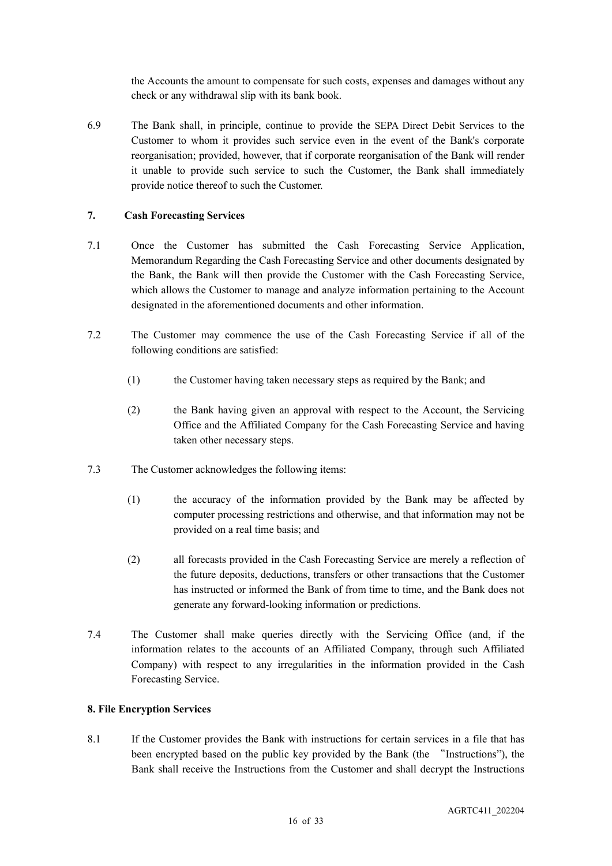the Accounts the amount to compensate for such costs, expenses and damages without any check or any withdrawal slip with its bank book.

6.9 The Bank shall, in principle, continue to provide the SEPA Direct Debit Services to the Customer to whom it provides such service even in the event of the Bank's corporate reorganisation; provided, however, that if corporate reorganisation of the Bank will render it unable to provide such service to such the Customer, the Bank shall immediately provide notice thereof to such the Customer.

#### **7. Cash Forecasting Services**

- 7.1 Once the Customer has submitted the Cash Forecasting Service Application, Memorandum Regarding the Cash Forecasting Service and other documents designated by the Bank, the Bank will then provide the Customer with the Cash Forecasting Service, which allows the Customer to manage and analyze information pertaining to the Account designated in the aforementioned documents and other information.
- 7.2 The Customer may commence the use of the Cash Forecasting Service if all of the following conditions are satisfied:
	- (1) the Customer having taken necessary steps as required by the Bank; and
	- (2) the Bank having given an approval with respect to the Account, the Servicing Office and the Affiliated Company for the Cash Forecasting Service and having taken other necessary steps.
- 7.3 The Customer acknowledges the following items:
	- (1) the accuracy of the information provided by the Bank may be affected by computer processing restrictions and otherwise, and that information may not be provided on a real time basis; and
	- (2) all forecasts provided in the Cash Forecasting Service are merely a reflection of the future deposits, deductions, transfers or other transactions that the Customer has instructed or informed the Bank of from time to time, and the Bank does not generate any forward-looking information or predictions.
- 7.4 The Customer shall make queries directly with the Servicing Office (and, if the information relates to the accounts of an Affiliated Company, through such Affiliated Company) with respect to any irregularities in the information provided in the Cash Forecasting Service.

#### **8. File Encryption Services**

8.1 If the Customer provides the Bank with instructions for certain services in a file that has been encrypted based on the public key provided by the Bank (the "Instructions"), the Bank shall receive the Instructions from the Customer and shall decrypt the Instructions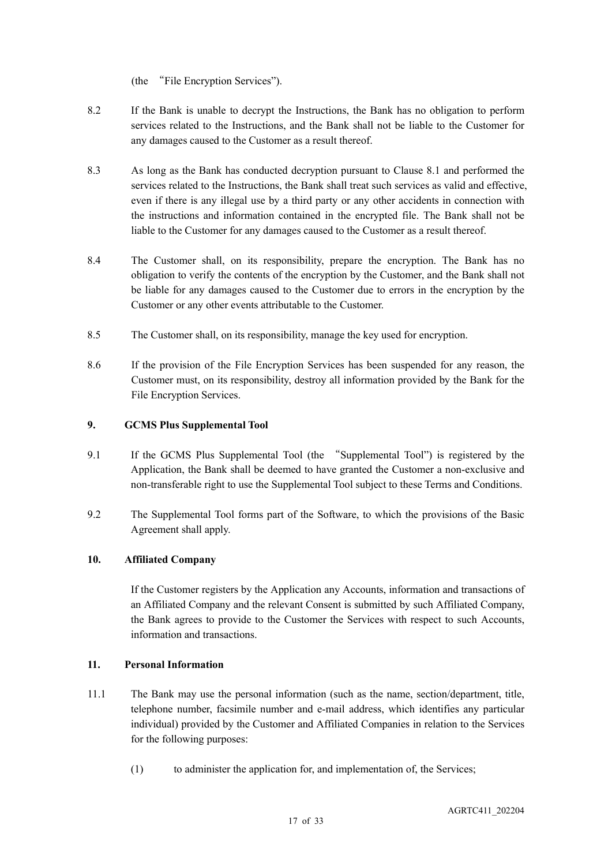(the "File Encryption Services").

- 8.2 If the Bank is unable to decrypt the Instructions, the Bank has no obligation to perform services related to the Instructions, and the Bank shall not be liable to the Customer for any damages caused to the Customer as a result thereof.
- 8.3 As long as the Bank has conducted decryption pursuant to Clause 8.1 and performed the services related to the Instructions, the Bank shall treat such services as valid and effective, even if there is any illegal use by a third party or any other accidents in connection with the instructions and information contained in the encrypted file. The Bank shall not be liable to the Customer for any damages caused to the Customer as a result thereof.
- 8.4 The Customer shall, on its responsibility, prepare the encryption. The Bank has no obligation to verify the contents of the encryption by the Customer, and the Bank shall not be liable for any damages caused to the Customer due to errors in the encryption by the Customer or any other events attributable to the Customer.
- 8.5 The Customer shall, on its responsibility, manage the key used for encryption.
- 8.6 If the provision of the File Encryption Services has been suspended for any reason, the Customer must, on its responsibility, destroy all information provided by the Bank for the File Encryption Services.

#### **9. GCMS Plus Supplemental Tool**

- 9.1 If the GCMS Plus Supplemental Tool (the "Supplemental Tool") is registered by the Application, the Bank shall be deemed to have granted the Customer a non-exclusive and non-transferable right to use the Supplemental Tool subject to these Terms and Conditions.
- 9.2 The Supplemental Tool forms part of the Software, to which the provisions of the Basic Agreement shall apply.

#### **10. Affiliated Company**

If the Customer registers by the Application any Accounts, information and transactions of an Affiliated Company and the relevant Consent is submitted by such Affiliated Company, the Bank agrees to provide to the Customer the Services with respect to such Accounts, information and transactions.

#### **11. Personal Information**

- 11.1 The Bank may use the personal information (such as the name, section/department, title, telephone number, facsimile number and e-mail address, which identifies any particular individual) provided by the Customer and Affiliated Companies in relation to the Services for the following purposes:
	- (1) to administer the application for, and implementation of, the Services;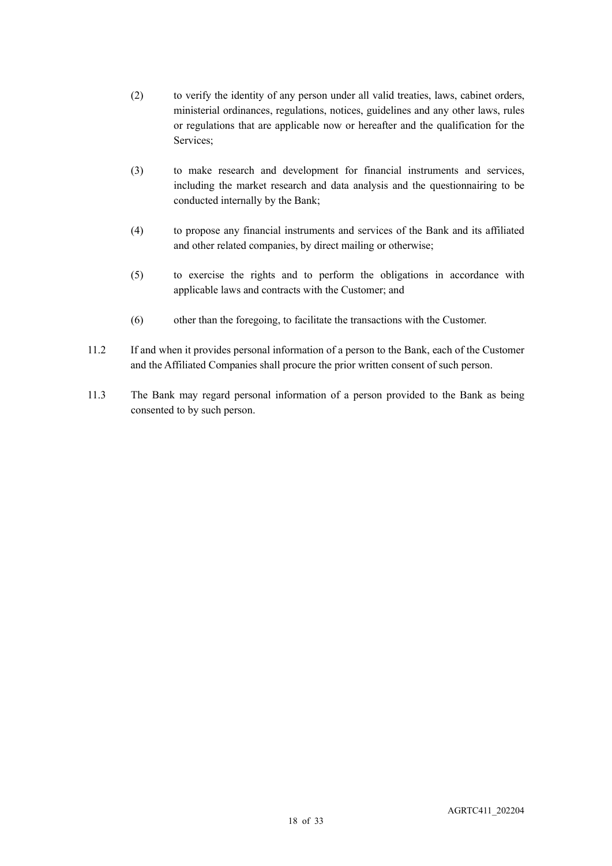- (2) to verify the identity of any person under all valid treaties, laws, cabinet orders, ministerial ordinances, regulations, notices, guidelines and any other laws, rules or regulations that are applicable now or hereafter and the qualification for the Services;
- (3) to make research and development for financial instruments and services, including the market research and data analysis and the questionnairing to be conducted internally by the Bank;
- (4) to propose any financial instruments and services of the Bank and its affiliated and other related companies, by direct mailing or otherwise;
- (5) to exercise the rights and to perform the obligations in accordance with applicable laws and contracts with the Customer; and
- (6) other than the foregoing, to facilitate the transactions with the Customer.
- 11.2 If and when it provides personal information of a person to the Bank, each of the Customer and the Affiliated Companies shall procure the prior written consent of such person.
- 11.3 The Bank may regard personal information of a person provided to the Bank as being consented to by such person.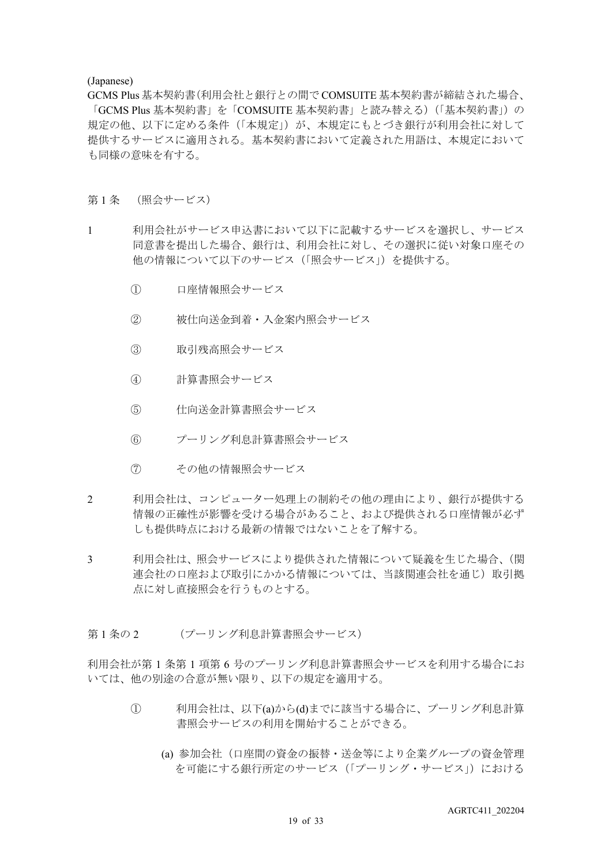#### (Japanese)

GCMS Plus 基本契約書(利用会社と銀行との間で COMSUITE 基本契約書が締結された場合、 「GCMS Plus 基本契約書」を「COMSUITE 基本契約書」と読み替える)(「基本契約書」)の 規定の他、以下に定める条件(「本規定」)が、本規定にもとづき銀行が利用会社に対して 提供するサービスに適用される。基本契約書において定義された用語は、本規定において も同様の意味を有する。

#### 第1条 (照会サービス)

- 1 利用会社がサービス申込書において以下に記載するサービスを選択し、サービス 同意書を提出した場合、銀行は、利用会社に対し、その選択に従い対象口座その 他の情報について以下のサービス(「照会サービス」)を提供する。
	- ① 口座情報照会サービス
	- ② 被仕向送金到着・入金案内照会サービス
	- ③ 取引残高照会サービス
	- ④ 計算書照会サービス
	- ⑤ 仕向送金計算書照会サービス
	- ⑥ プーリング利息計算書照会サービス
	- ⑦ その他の情報照会サービス
- 2 利用会社は、コンピューター処理上の制約その他の理由により、銀行が提供する 情報の正確性が影響を受ける場合があること、および提供される口座情報が必ず しも提供時点における最新の情報ではないことを了解する。
- 3 利用会社は、照会サービスにより提供された情報について疑義を生じた場合、(関 連会社の口座および取引にかかる情報については、当該関連会社を通じ)取引拠 点に対し直接照会を行うものとする。
- 第1条の2 (プーリング利息計算書照会サービス)

利用会社が第 1 条第 1 項第 6 号のプーリング利息計算書照会サービスを利用する場合にお いては、他の別途の合意が無い限り、以下の規定を適用する。

- ① 利用会社は、以下(a)から(d)までに該当する場合に、プーリング利息計算 書照会サービスの利用を開始することができる。
	- (a) 参加会社(口座間の資金の振替・送金等により企業グループの資金管理 を可能にする銀行所定のサービス(「プーリング・サービス」)における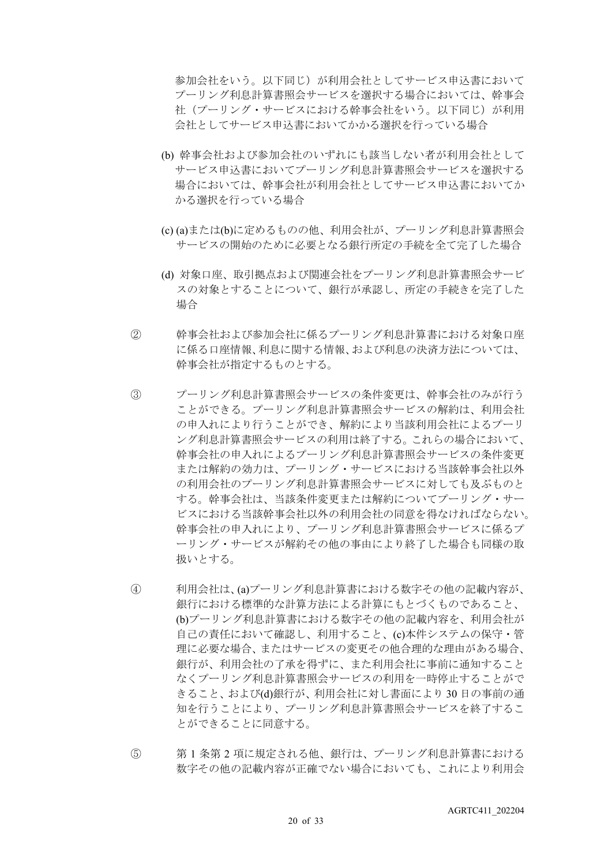参加会社をいう。以下同じ)が利用会社としてサービス申込書において プーリング利息計算書照会サービスを選択する場合においては、幹事会 社(プーリング・サービスにおける幹事会社をいう。以下同じ)が利用 会社としてサービス申込書においてかかる選択を行っている場合

- (b) 幹事会社および参加会社のいずれにも該当しない者が利用会社として サービス申込書においてプーリング利息計算書照会サービスを選択する 場合においては、幹事会社が利用会社としてサービス申込書においてか かる選択を行っている場合
- (c) (a)または(b)に定めるものの他、利用会社が、プーリング利息計算書照会 サービスの開始のために必要となる銀行所定の手続を全て完了した場合
- (d) 対象口座、取引拠点および関連会社をプーリング利息計算書照会サービ スの対象とすることについて、銀行が承認し、所定の手続きを完了した 場合
- ② 幹事会社および参加会社に係るプーリング利息計算書における対象口座 に係る口座情報、利息に関する情報、および利息の決済方法については、 幹事会社が指定するものとする。
- ③ プーリング利息計算書照会サービスの条件変更は、幹事会社のみが行う ことができる。プーリング利息計算書照会サービスの解約は、利用会社 の申入れにより行うことができ、解約により当該利用会社によるプーリ ング利息計算書照会サービスの利用は終了する。これらの場合において、 幹事会社の申入れによるプーリング利息計算書照会サービスの条件変更 または解約の効力は、プーリング・サービスにおける当該幹事会社以外 の利用会社のプーリング利息計算書照会サービスに対しても及ぶものと する。幹事会社は、当該条件変更または解約についてプーリング・サー ビスにおける当該幹事会社以外の利用会社の同意を得なければならない。 幹事会社の申入れにより、プーリング利息計算書照会サービスに係るプ ーリング・サービスが解約その他の事由により終了した場合も同様の取 扱いとする。
- ④ 利用会社は、(a)プーリング利息計算書における数字その他の記載内容が、 銀行における標準的な計算方法による計算にもとづくものであること、 (b)プーリング利息計算書における数字その他の記載内容を、利用会社が 自己の責任において確認し、利用すること、(c)本件システムの保守・管 理に必要な場合、またはサービスの変更その他合理的な理由がある場合、 銀行が、利用会社の了承を得ずに、また利用会社に事前に通知すること なくプーリング利息計算書照会サービスの利用を一時停止することがで きること、および(d)銀行が、利用会社に対し書面により 30 日の事前の通 知を行うことにより、プーリング利息計算書照会サービスを終了するこ とができることに同意する。
- ⑤ 第 1 条第 2 項に規定される他、銀行は、プーリング利息計算書における 数字その他の記載内容が正確でない場合においても、これにより利用会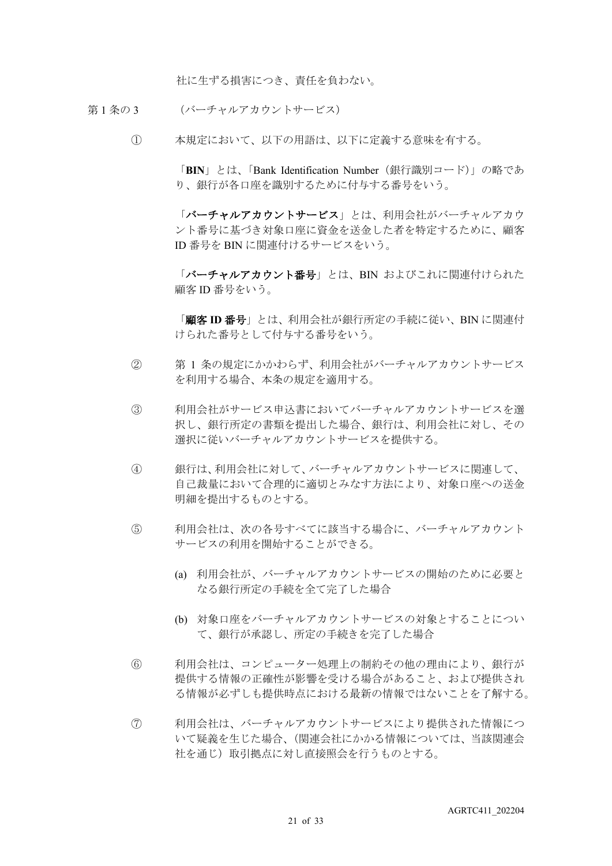社に生ずる損害につき、責任を負わない。

- 第1条の3 (バーチャルアカウントサービス)
	- ① 本規定において、以下の用語は、以下に定義する意味を有する。

「**BIN**」とは、「Bank Identification Number(銀行識別コード)」の略であ り、銀行が各口座を識別するために付与する番号をいう。

「バーチャルアカウントサービス」とは、利用会社がバーチャルアカウ ント番号に基づき対象口座に資金を送金した者を特定するために、顧客 ID 番号を BIN に関連付けるサービスをいう。

「バーチャルアカウント番号」とは、BIN およびこれに関連付けられた 顧客 ID 番号をいう。

「顧客 **ID** 番号」とは、利用会社が銀行所定の手続に従い、BIN に関連付 けられた番号として付与する番号をいう。

- ② 第 1 条の規定にかかわらず、利用会社がバーチャルアカウントサービス を利用する場合、本条の規定を適用する。
- ③ 利用会社がサービス申込書においてバーチャルアカウントサービスを選 択し、銀行所定の書類を提出した場合、銀行は、利用会社に対し、その 選択に従いバーチャルアカウントサービスを提供する。
- ④ 銀行は、利用会社に対して、バーチャルアカウントサービスに関連して、 自己裁量において合理的に適切とみなす方法により、対象口座への送金 明細を提出するものとする。
- ⑤ 利用会社は、次の各号すべてに該当する場合に、バーチャルアカウント サービスの利用を開始することができる。
	- (a) 利用会社が、バーチャルアカウントサービスの開始のために必要と なる銀行所定の手続を全て完了した場合
	- (b) 対象口座をバーチャルアカウントサービスの対象とすることについ て、銀行が承認し、所定の手続きを完了した場合
- ⑥ 利用会社は、コンピューター処理上の制約その他の理由により、銀行が 提供する情報の正確性が影響を受ける場合があること、および提供され る情報が必ずしも提供時点における最新の情報ではないことを了解する。
- ⑦ 利用会社は、バーチャルアカウントサービスにより提供された情報につ いて疑義を生じた場合、(関連会社にかかる情報については、当該関連会 社を通じ)取引拠点に対し直接照会を行うものとする。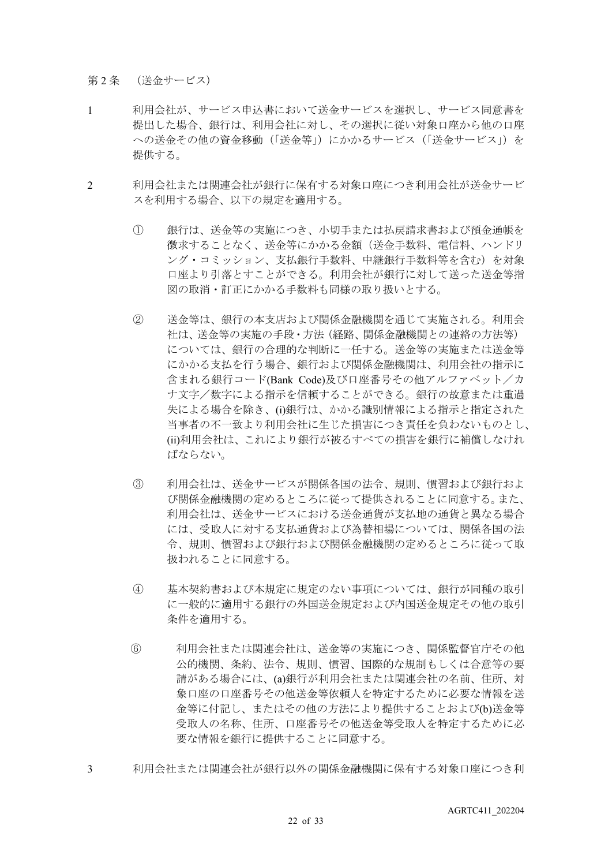第2条 (送金サービス)

- 1 利用会社が、サービス申込書において送金サービスを選択し、サービス同意書を 提出した場合、銀行は、利用会社に対し、その選択に従い対象口座から他の口座 への送金その他の資金移動(「送金等」)にかかるサービス(「送金サービス」)を 提供する。
- 2 利用会社または関連会社が銀行に保有する対象口座につき利用会社が送金サービ スを利用する場合、以下の規定を適用する。
	- ① 銀行は、送金等の実施につき、小切手または払戻請求書および預金通帳を 徴求することなく、送金等にかかる金額(送金手数料、電信料、ハンドリ ング・コミッション、支払銀行手数料、中継銀行手数料等を含む)を対象 口座より引落とすことができる。利用会社が銀行に対して送った送金等指 図の取消・訂正にかかる手数料も同様の取り扱いとする。
	- ② 送金等は、銀行の本支店および関係金融機関を通じて実施される。利用会 社は、送金等の実施の手段・方法(経路、関係金融機関との連絡の方法等) については、銀行の合理的な判断に一任する。送金等の実施または送金等 にかかる支払を行う場合、銀行および関係金融機関は、利用会社の指示に 含まれる銀行コード(Bank Code)及び口座番号その他アルファベット/カ ナ文字/数字による指示を信頼することができる。銀行の故意または重過 失による場合を除き、(i)銀行は、かかる識別情報による指示と指定された 当事者の不一致より利用会社に生じた損害につき責任を負わないものとし、 (ii)利用会社は、これにより銀行が被るすべての損害を銀行に補償しなけれ ばならない。
	- ③ 利用会社は、送金サービスが関係各国の法令、規則、慣習および銀行およ び関係金融機関の定めるところに従って提供されることに同意する。また、 利用会社は、送金サービスにおける送金通貨が支払地の通貨と異なる場合 には、受取人に対する支払通貨および為替相場については、関係各国の法 令、規則、慣習および銀行および関係金融機関の定めるところに従って取 扱われることに同意する。
	- ④ 基本契約書および本規定に規定のない事項については、銀行が同種の取引 に一般的に適用する銀行の外国送金規定および内国送金規定その他の取引 条件を適用する。
	- ⑥ 利用会社または関連会社は、送金等の実施につき、関係監督官庁その他 公的機関、条約、法令、規則、慣習、国際的な規制もしくは合意等の要 請がある場合には、(a)銀行が利用会社または関連会社の名前、住所、対 象口座の口座番号その他送金等依頼人を特定するために必要な情報を送 金等に付記し、またはその他の方法により提供することおよび(b)送金等 受取人の名称、住所、口座番号その他送金等受取人を特定するために必 要な情報を銀行に提供することに同意する。
- 3 利用会社または関連会社が銀行以外の関係金融機関に保有する対象口座につき利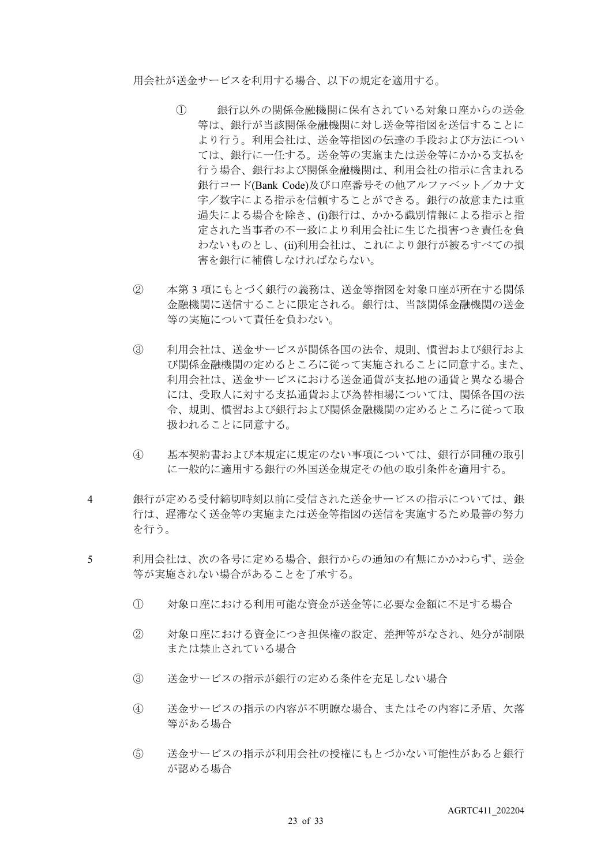用会社が送金サービスを利用する場合、以下の規定を適用する。

- ① 銀行以外の関係金融機関に保有されている対象口座からの送金 等は、銀行が当該関係金融機関に対し送金等指図を送信することに より行う。利用会社は、送金等指図の伝達の手段および方法につい ては、銀行に一任する。送金等の実施または送金等にかかる支払を 行う場合、銀行および関係金融機関は、利用会社の指示に含まれる 銀行コード(Bank Code)及び口座番号その他アルファベット/カナ文 字/数字による指示を信頼することができる。銀行の故意または重 過失による場合を除き、(i)銀行は、かかる識別情報による指示と指 定された当事者の不一致により利用会社に生じた損害つき責任を負 わないものとし、(ii)利用会社は、これにより銀行が被るすべての損 害を銀行に補償しなければならない。
- ② 本第 3 項にもとづく銀行の義務は、送金等指図を対象口座が所在する関係 金融機関に送信することに限定される。銀行は、当該関係金融機関の送金 等の実施について責任を負わない。
- ③ 利用会社は、送金サービスが関係各国の法令、規則、慣習および銀行およ び関係金融機関の定めるところに従って実施されることに同意する。また、 利用会社は、送金サービスにおける送金通貨が支払地の通貨と異なる場合 には、受取人に対する支払通貨および為替相場については、関係各国の法 令、規則、慣習および銀行および関係金融機関の定めるところに従って取 扱われることに同意する。
- ④ 基本契約書および本規定に規定のない事項については、銀行が同種の取引 に一般的に適用する銀行の外国送金規定その他の取引条件を適用する。
- 4 銀行が定める受付締切時刻以前に受信された送金サービスの指示については、銀 行は、遅滞なく送金等の実施または送金等指図の送信を実施するため最善の努力 を行う。
- 5 利用会社は、次の各号に定める場合、銀行からの通知の有無にかかわらず、送金 等が実施されない場合があることを了承する。
	- ① 対象口座における利用可能な資金が送金等に必要な金額に不足する場合
	- ② 対象口座における資金につき担保権の設定、差押等がなされ、処分が制限 または禁止されている場合
	- ③ 送金サービスの指示が銀行の定める条件を充足しない場合
	- ④ 送金サービスの指示の内容が不明瞭な場合、またはその内容に矛盾、欠落 等がある場合
	- ⑤ 送金サービスの指示が利用会社の授権にもとづかない可能性があると銀行 が認める場合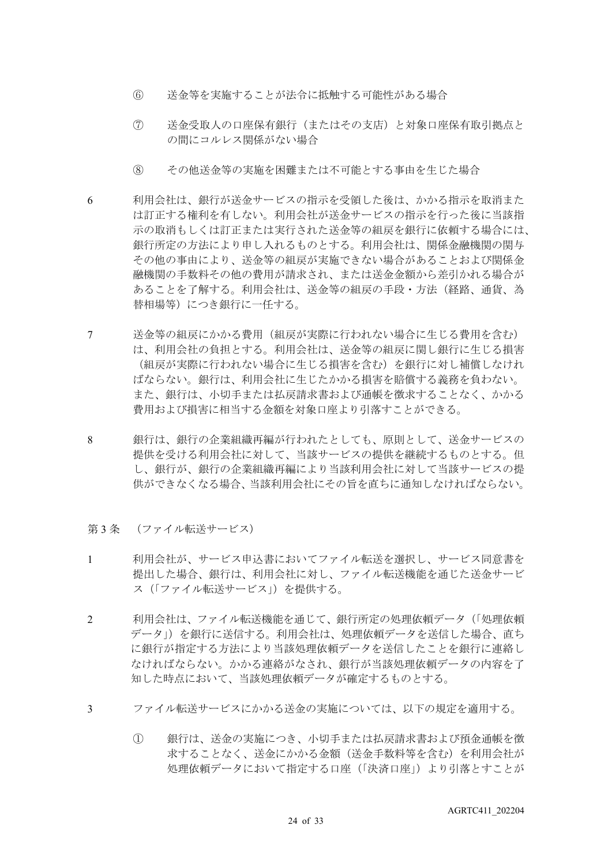- ⑥ 送金等を実施することが法令に抵触する可能性がある場合
- ⑦ 送金受取人の口座保有銀行(またはその支店)と対象口座保有取引拠点と の間にコルレス関係がない場合
- ⑧ その他送金等の実施を困難または不可能とする事由を生じた場合
- 6 利用会社は、銀行が送金サービスの指示を受領した後は、かかる指示を取消また は訂正する権利を有しない。利用会社が送金サービスの指示を行った後に当該指 示の取消もしくは訂正または実行された送金等の組戻を銀行に依頼する場合には、 銀行所定の方法により申し入れるものとする。利用会社は、関係金融機関の関与 その他の事由により、送金等の組戻が実施できない場合があることおよび関係金 融機関の手数料その他の費用が請求され、または送金金額から差引かれる場合が あることを了解する。利用会社は、送金等の組戻の手段・方法(経路、通貨、為 替相場等)につき銀行に一任する。
- 7 送金等の組戻にかかる費用(組戻が実際に行われない場合に生じる費用を含む) は、利用会社の負担とする。利用会社は、送金等の組戻に関し銀行に生じる損害 (組戻が実際に行われない場合に生じる損害を含む)を銀行に対し補償しなけれ ばならない。銀行は、利用会社に生じたかかる損害を賠償する義務を負わない。 また、銀行は、小切手または払戻請求書および通帳を徴求することなく、かかる 費用および損害に相当する金額を対象口座より引落すことができる。
- 8 銀行は、銀行の企業組織再編が行われたとしても、原則として、送金サービスの 提供を受ける利用会社に対して、当該サービスの提供を継続するものとする。但 し、銀行が、銀行の企業組織再編により当該利用会社に対して当該サービスの提 供ができなくなる場合、当該利用会社にその旨を直ちに通知しなければならない。
- 第3条 (ファイル転送サービス)
- 1 利用会社が、サービス申込書においてファイル転送を選択し、サービス同意書を 提出した場合、銀行は、利用会社に対し、ファイル転送機能を通じた送金サービ ス(「ファイル転送サービス」)を提供する。
- 2 利用会社は、ファイル転送機能を通じて、銀行所定の処理依頼データ(「処理依頼 データ」)を銀行に送信する。利用会社は、処理依頼データを送信した場合、直ち に銀行が指定する方法により当該処理依頼データを送信したことを銀行に連絡し なければならない。かかる連絡がなされ、銀行が当該処理依頼データの内容を了 知した時点において、当該処理依頼データが確定するものとする。
- 3 ファイル転送サービスにかかる送金の実施については、以下の規定を適用する。
	- ① 銀行は、送金の実施につき、小切手または払戻請求書および預金通帳を徴 求することなく、送金にかかる金額(送金手数料等を含む)を利用会社が 処理依頼データにおいて指定する口座(「決済口座」)より引落とすことが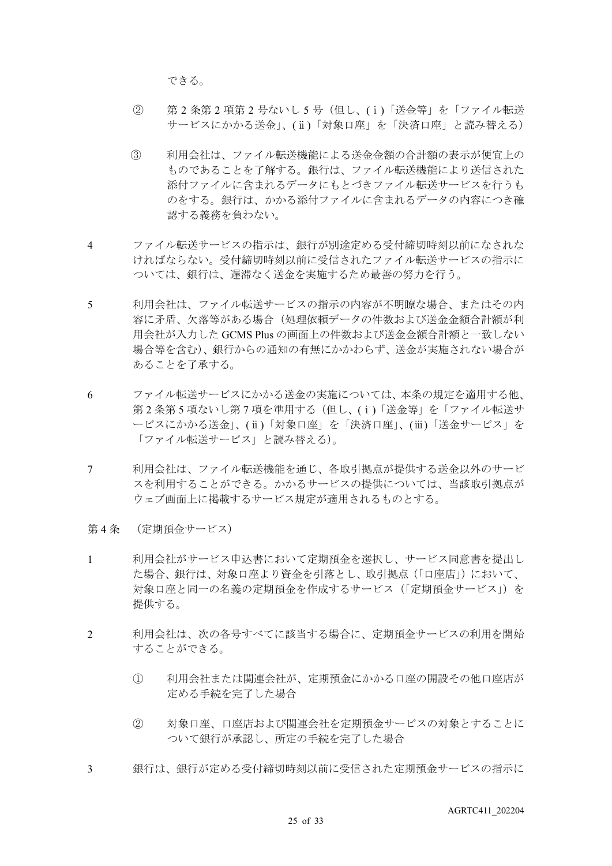できる。

- ② 第 2 条第 2 項第 2 号ないし 5 号(但し、(ⅰ)「送金等」を「ファイル転送 サービスにかかる送金」、(ⅱ)「対象口座」を「決済口座」と読み替える)
- ③ 利用会社は、ファイル転送機能による送金金額の合計額の表示が便宜上の ものであることを了解する。銀行は、ファイル転送機能により送信された 添付ファイルに含まれるデータにもとづきファイル転送サービスを行うも のをする。銀行は、かかる添付ファイルに含まれるデータの内容につき確 認する義務を負わない。
- 4 ファイル転送サービスの指示は、銀行が別途定める受付締切時刻以前になされな ければならない。受付締切時刻以前に受信されたファイル転送サービスの指示に ついては、銀行は、遅滞なく送金を実施するため最善の努力を行う。
- 5 利用会社は、ファイル転送サービスの指示の内容が不明瞭な場合、またはその内 容に矛盾、欠落等がある場合(処理依頼データの件数および送金金額合計額が利 用会社が入力した GCMS Plus の画面上の件数および送金金額合計額と一致しない 場合等を含む)、銀行からの通知の有無にかかわらず、送金が実施されない場合が あることを了承する。
- 6 ファイル転送サービスにかかる送金の実施については、本条の規定を適用する他、 第2条第5 項ないし第7項を準用する(但し、(i)「送金等」を「ファイル転送サ ービスにかかる送金」、(ⅱ)「対象口座」を「決済口座」、(ⅲ)「送金サービス」を 「ファイル転送サービス」と読み替える)。
- 7 利用会社は、ファイル転送機能を通じ、各取引拠点が提供する送金以外のサービ スを利用することができる。かかるサービスの提供については、当該取引拠点が ウェブ画面上に掲載するサービス規定が適用されるものとする。
- 第 4 条 (定期預金サービス)
- 1 利用会社がサービス申込書において定期預金を選択し、サービス同意書を提出し た場合、銀行は、対象口座より資金を引落とし、取引拠点(「口座店」)において、 対象口座と同一の名義の定期預金を作成するサービス(「定期預金サービス」)を 提供する。
- 2 利用会社は、次の各号すべてに該当する場合に、定期預金サービスの利用を開始 することができる。
	- ① 利用会社または関連会社が、定期預金にかかる口座の開設その他口座店が 定める手続を完了した場合
	- ② 対象口座、口座店および関連会社を定期預金サービスの対象とすることに ついて銀行が承認し、所定の手続を完了した場合
- 3 銀行は、銀行が定める受付締切時刻以前に受信された定期預金サービスの指示に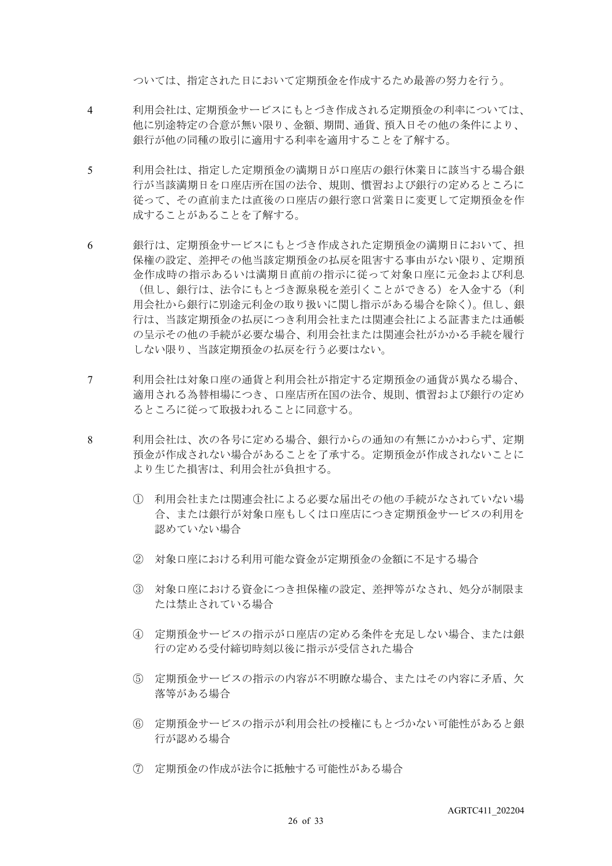ついては、指定された日において定期預金を作成するため最善の努力を行う。

- 4 利用会社は、定期預金サービスにもとづき作成される定期預金の利率については、 他に別途特定の合意が無い限り、金額、期間、通貨、預入日その他の条件により、 銀行が他の同種の取引に適用する利率を適用することを了解する。
- 5 利用会社は、指定した定期預金の満期日が口座店の銀行休業日に該当する場合銀 行が当該満期日を口座店所在国の法令、規則、慣習および銀行の定めるところに 従って、その直前または直後の口座店の銀行窓口営業日に変更して定期預金を作 成することがあることを了解する。
- 6 銀行は、定期預金サービスにもとづき作成された定期預金の満期日において、担 保権の設定、差押その他当該定期預金の払戻を阻害する事由がない限り、定期預 金作成時の指示あるいは満期日直前の指示に従って対象口座に元金および利息 (但し、銀行は、法令にもとづき源泉税を差引くことができる)を入金する(利 用会社から銀行に別途元利金の取り扱いに関し指示がある場合を除く)。但し、銀 行は、当該定期預金の払戻につき利用会社または関連会社による証書または通帳 の呈示その他の手続が必要な場合、利用会社または関連会社がかかる手続を履行 しない限り、当該定期預金の払戻を行う必要はない。
- 7 利用会社は対象口座の通貨と利用会社が指定する定期預金の通貨が異なる場合、 適用される為替相場につき、口座店所在国の法令、規則、慣習および銀行の定め るところに従って取扱われることに同意する。
- 8 利用会社は、次の各号に定める場合、銀行からの通知の有無にかかわらず、定期 預金が作成されない場合があることを了承する。定期預金が作成されないことに より生じた損害は、利用会社が負担する。
	- ① 利用会社または関連会社による必要な届出その他の手続がなされていない場 合、または銀行が対象口座もしくは口座店につき定期預金サービスの利用を 認めていない場合
	- ② 対象口座における利用可能な資金が定期預金の金額に不足する場合
	- ③ 対象口座における資金につき担保権の設定、差押等がなされ、処分が制限ま たは禁止されている場合
	- ④ 定期預金サービスの指示が口座店の定める条件を充足しない場合、または銀 行の定める受付締切時刻以後に指示が受信された場合
	- ⑤ 定期預金サービスの指示の内容が不明瞭な場合、またはその内容に矛盾、欠 落等がある場合
	- ⑥ 定期預金サービスの指示が利用会社の授権にもとづかない可能性があると銀 行が認める場合
	- ⑦ 定期預金の作成が法令に抵触する可能性がある場合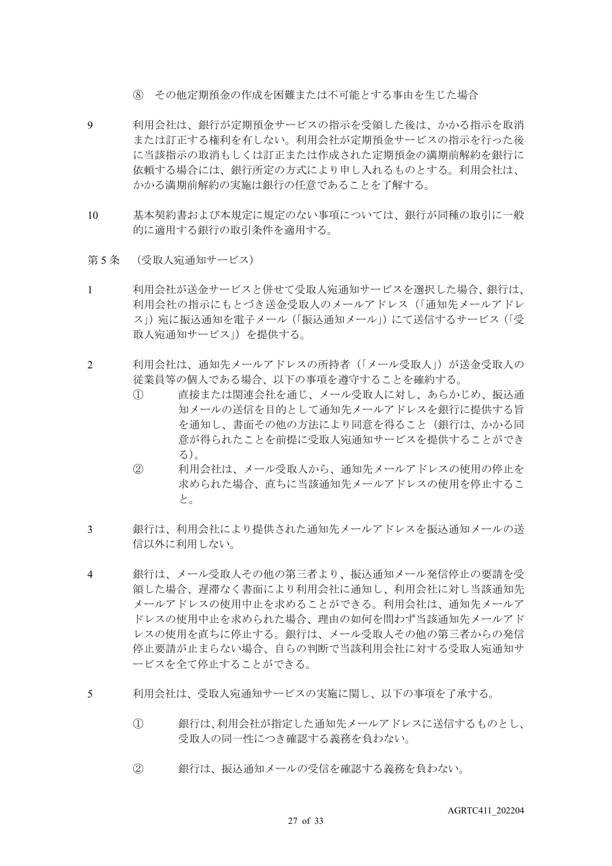- ⑧ その他定期預金の作成を困難または不可能とする事由を生じた場合
- 9 利用会社は、銀行が定期預金サービスの指示を受領した後は、かかる指示を取消 または訂正する権利を有しない。利用会社が定期預金サービスの指示を行った後 に当該指示の取消もしくは訂正または作成された定期預金の満期前解約を銀行に 依頼する場合には、銀行所定の方式により申し入れるものとする。利用会社は、 かかる満期前解約の実施は銀行の任意であることを了解する。
- 10 基本契約書および本規定に規定のない事項については、銀行が同種の取引に一般 的に適用する銀行の取引条件を適用する。
- 第5条 (受取人宛通知サービス)
- 1 利用会社が送金サービスと併せて受取人宛通知サービスを選択した場合、銀行は、 利用会社の指示にもとづき送金受取人のメールアドレス(「通知先メールアドレ ス」)宛に振込通知を電子メール(「振込通知メール」)にて送信するサービス(「受 取人宛通知サービス」)を提供する。
- 2 利用会社は、通知先メールアドレスの所持者(「メール受取人」)が送金受取人の 従業員等の個人である場合、以下の事項を遵守することを確約する。
	- ① 直接または関連会社を通じ、メール受取人に対し、あらかじめ、振込通 知メールの送信を目的として通知先メールアドレスを銀行に提供する旨 を通知し、書面その他の方法により同意を得ること(銀行は、かかる同 意が得られたことを前提に受取人宛通知サービスを提供することができ る)。
	- ② 利用会社は、メール受取人から、通知先メールアドレスの使用の停止を 求められた場合、直ちに当該通知先メールアドレスの使用を停止するこ と。
- 3 銀行は、利用会社により提供された通知先メールアドレスを振込通知メールの送 信以外に利用しない。
- 4 銀行は、メール受取人その他の第三者より、振込通知メール発信停止の要請を受 領した場合、遅滞なく書面により利用会社に通知し、利用会社に対し当該通知先 メールアドレスの使用中止を求めることができる。利用会社は、通知先メールア ドレスの使用中止を求められた場合、理由の如何を問わず当該通知先メールアド レスの使用を直ちに停止する。銀行は、メール受取人その他の第三者からの発信 停止要請が止まらない場合、自らの判断で当該利用会社に対する受取人宛通知サ ービスを全て停止することができる。
- 5 利用会社は、受取人宛通知サービスの実施に関し、以下の事項を了承する。
	- ① 銀行は、利用会社が指定した通知先メールアドレスに送信するものとし、 受取人の同一性につき確認する義務を負わない。
	- ② 銀行は、振込通知メールの受信を確認する義務を負わない。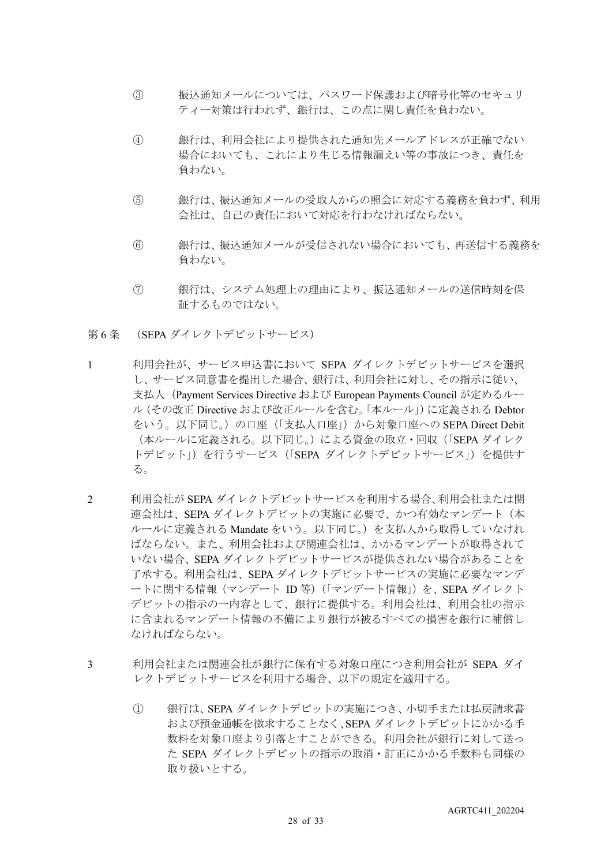- ③ 振込通知メールについては、パスワード保護および暗号化等のセキュリ ティー対策は行われず、銀行は、この点に関し責任を負わない。
- ④ 銀行は、利用会社により提供された通知先メールアドレスが正確でない 場合においても、これにより生じる情報漏えい等の事故につき、責任を 負わない。
- ⑤ 銀行は、振込通知メールの受取人からの照会に対応する義務を負わず、利用 会社は、自己の責任において対応を行わなければならない。
- ⑥ 銀行は、振込通知メールが受信されない場合においても、再送信する義務を 負わない。
- ⑦ 銀行は、システム処理上の理由により、振込通知メールの送信時刻を保 証するものではない。
- 第 6 条 (SEPA ダイレクトデビットサービス)
- 1 利用会社が、サービス申込書において SEPA ダイレクトデビットサービスを選択 し、サービス同意書を提出した場合、銀行は、利用会社に対し、その指示に従い、 支払人(Payment Services Directive および European Payments Council が定めるルー ル(その改正 Directive および改正ルールを含む。「本ルール」)に定義される Debtor をいう。以下同じ。)の口座(「支払人口座」)から対象口座への SEPA Direct Debit (本ルールに定義される。以下同じ。)による資金の取立・回収(「SEPA ダイレク トデビット」)を行うサービス (「SEPA ダイレクトデビットサービス」)を提供す る。
- 2 利用会社が SEPA ダイレクトデビットサービスを利用する場合、利用会社または関 連会社は、SEPA ダイレクトデビットの実施に必要で、かつ有効なマンデート(本 ルールに定義される Mandate をいう。以下同じ。)を支払人から取得していなけれ ばならない。また、利用会社および関連会社は、かかるマンデートが取得されて いない場合、SEPA ダイレクトデビットサービスが提供されない場合があることを 了承する。利用会社は、SEPA ダイレクトデビットサービスの実施に必要なマンデ ートに関する情報(マンデート ID 等)(「マンデート情報」)を、SEPA ダイレクト デビットの指示の一内容として、銀行に提供する。利用会社は、利用会社の指示 に含まれるマンデート情報の不備により銀行が被るすべての損害を銀行に補償し なければならない。
- 3 利用会社または関連会社が銀行に保有する対象口座につき利用会社が SEPA ダイ レクトデビットサービスを利用する場合、以下の規定を適用する。
	- ① 銀行は、SEPA ダイレクトデビットの実施につき、小切手または払戻請求書 および預金通帳を徴求することなく、SEPA ダイレクトデビットにかかる手 数料を対象口座より引落とすことができる。利用会社が銀行に対して送っ た SEPA ダイレクトデビットの指示の取消・訂正にかかる手数料も同様の 取り扱いとする。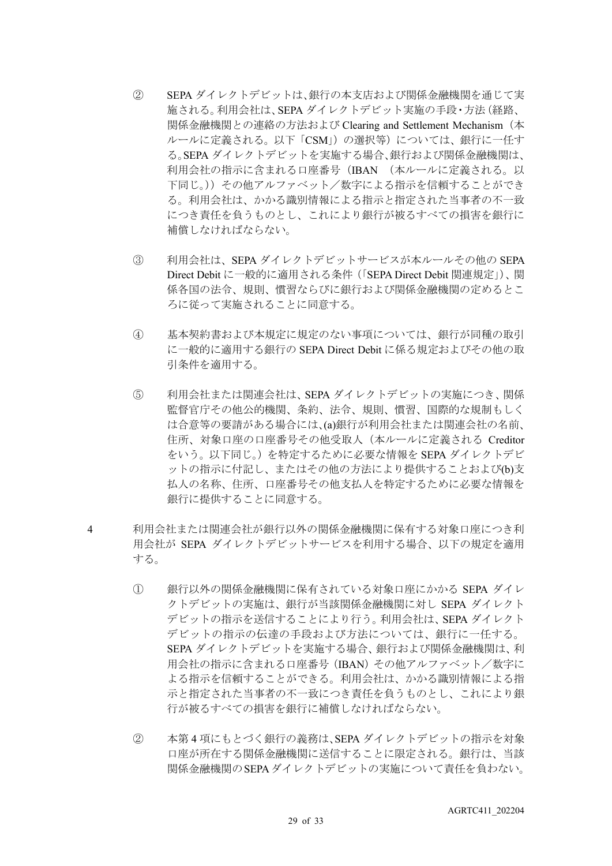- ② SEPA ダイレクトデビットは、銀行の本支店および関係金融機関を通じて実 施される。利用会社は、SEPA ダイレクトデビット実施の手段・方法(経路、 関係金融機関との連絡の方法および Clearing and Settlement Mechanism(本 ルールに定義される。以下「CSM」)の選択等)については、銀行に一任す る。SEPA ダイレクトデビットを実施する場合、銀行および関係金融機関は、 利用会社の指示に含まれる口座番号(IBAN (本ルールに定義される。以 下同じ。))その他アルファベット/数字による指示を信頼することができ る。利用会社は、かかる識別情報による指示と指定された当事者の不一致 につき責任を負うものとし、これにより銀行が被るすべての損害を銀行に 補償しなければならない。
- ③ 利用会社は、SEPA ダイレクトデビットサービスが本ルールその他の SEPA Direct Debit に一般的に適用される条件(「SEPA Direct Debit 関連規定」)、関 係各国の法令、規則、慣習ならびに銀行および関係金融機関の定めるとこ ろに従って実施されることに同意する。
- ④ 基本契約書および本規定に規定のない事項については、銀行が同種の取引 に一般的に適用する銀行の SEPA Direct Debit に係る規定およびその他の取 引条件を適用する。
- ⑤ 利用会社または関連会社は、SEPA ダイレクトデビットの実施につき、関係 監督官庁その他公的機関、条約、法令、規則、慣習、国際的な規制もしく は合意等の要請がある場合には、(a)銀行が利用会社または関連会社の名前、 住所、対象口座の口座番号その他受取人(本ルールに定義される Creditor をいう。以下同じ。)を特定するために必要な情報を SEPA ダイレクトデビ ットの指示に付記し、またはその他の方法により提供することおよび(b)支 払人の名称、住所、口座番号その他支払人を特定するために必要な情報を 銀行に提供することに同意する。
- 4 利用会社または関連会社が銀行以外の関係金融機関に保有する対象口座につき利 用会社が SEPA ダイレクトデビットサービスを利用する場合、以下の規定を適用 する。
	- ① 銀行以外の関係金融機関に保有されている対象口座にかかる SEPA ダイレ クトデビットの実施は、銀行が当該関係金融機関に対し SEPA ダイレクト デビットの指示を送信することにより行う。利用会社は、SEPA ダイレクト デビットの指示の伝達の手段および方法については、銀行に一任する。 SEPA ダイレクトデビットを実施する場合、銀行および関係金融機関は、利 用会社の指示に含まれる口座番号(IBAN)その他アルファベット/数字に よる指示を信頼することができる。利用会社は、かかる識別情報による指 示と指定された当事者の不一致につき責任を負うものとし、これにより銀 行が被るすべての損害を銀行に補償しなければならない。
	- ② 本第 4 項にもとづく銀行の義務は、SEPA ダイレクトデビットの指示を対象 口座が所在する関係金融機関に送信することに限定される。銀行は、当該 関係金融機関のSEPAダイレクトデビットの実施について責任を負わない。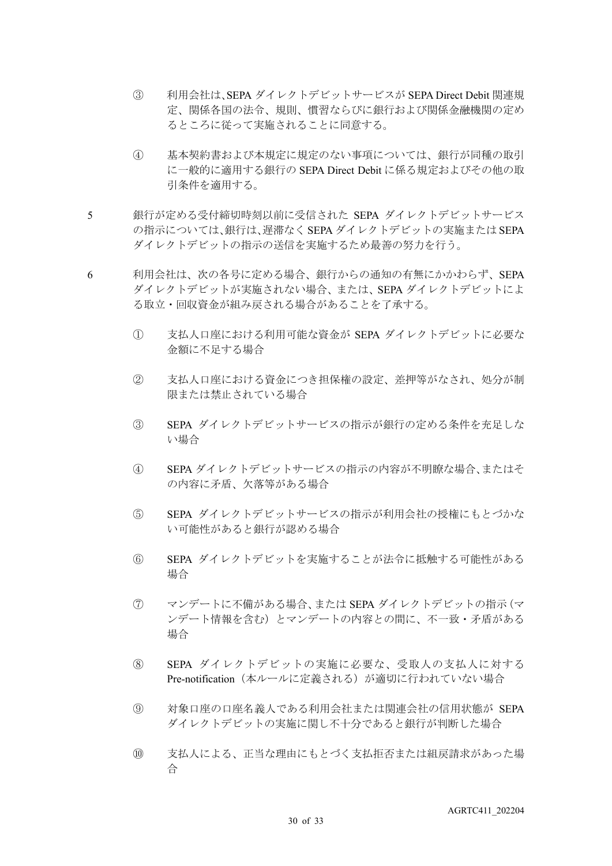- ③ 利用会社は、SEPA ダイレクトデビットサービスが SEPA Direct Debit 関連規 定、関係各国の法令、規則、慣習ならびに銀行および関係金融機関の定め るところに従って実施されることに同意する。
- ④ 基本契約書および本規定に規定のない事項については、銀行が同種の取引 に一般的に適用する銀行の SEPA Direct Debit に係る規定およびその他の取 引条件を適用する。
- 5 銀行が定める受付締切時刻以前に受信された SEPA ダイレクトデビットサービス の指示については、銀行は、遅滞なく SEPA ダイレクトデビットの実施または SEPA ダイレクトデビットの指示の送信を実施するため最善の努力を行う。
- 6 利用会社は、次の各号に定める場合、銀行からの通知の有無にかかわらず、SEPA ダイレクトデビットが実施されない場合、または、SEPA ダイレクトデビットによ る取立・回収資金が組み戻される場合があることを了承する。
	- ① 支払人口座における利用可能な資金が SEPA ダイレクトデビットに必要な 金額に不足する場合
	- ② 支払人口座における資金につき担保権の設定、差押等がなされ、処分が制 限または禁止されている場合
	- ③ SEPA ダイレクトデビットサービスの指示が銀行の定める条件を充足しな い場合
	- ④ SEPA ダイレクトデビットサービスの指示の内容が不明瞭な場合、またはそ の内容に矛盾、欠落等がある場合
	- ⑤ SEPA ダイレクトデビットサービスの指示が利用会社の授権にもとづかな い可能性があると銀行が認める場合
	- ⑥ SEPA ダイレクトデビットを実施することが法令に抵触する可能性がある 場合
	- ⑦ マンデートに不備がある場合、または SEPA ダイレクトデビットの指示(マ ンデート情報を含む)とマンデートの内容との間に、不一致・矛盾がある 場合
	- ⑧ SEPA ダイレクトデビットの実施に必要な、受取人の支払人に対する Pre-notification (本ルールに定義される)が適切に行われていない場合
	- ⑨ 対象口座の口座名義人である利用会社または関連会社の信用状態が SEPA ダイレクトデビットの実施に関し不十分であると銀行が判断した場合
	- ⑩ 支払人による、正当な理由にもとづく支払拒否または組戻請求があった場 合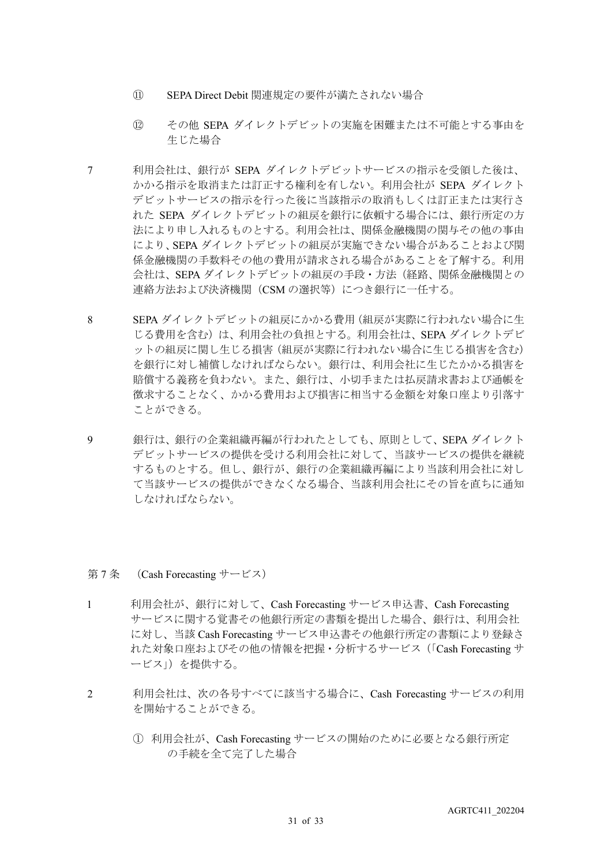- ⑪ SEPA Direct Debit 関連規定の要件が満たされない場合
- ⑫ その他 SEPA ダイレクトデビットの実施を困難または不可能とする事由を 生じた場合
- 7 利用会社は、銀行が SEPA ダイレクトデビットサービスの指示を受領した後は、 かかる指示を取消または訂正する権利を有しない。利用会社が SEPA ダイレクト デビットサービスの指示を行った後に当該指示の取消もしくは訂正または実行さ れた SEPA ダイレクトデビットの組戻を銀行に依頼する場合には、銀行所定の方 法により申し入れるものとする。利用会社は、関係金融機関の関与その他の事由 により、SEPA ダイレクトデビットの組戻が実施できない場合があることおよび関 係金融機関の手数料その他の費用が請求される場合があることを了解する。利用 会社は、SEPA ダイレクトデビットの組戻の手段・方法(経路、関係金融機関との 連絡方法および決済機関 (CSM の選択等) につき銀行に一任する。
- 8 SEPA ダイレクトデビットの組戻にかかる費用(組戻が実際に行われない場合に生 じる費用を含む)は、利用会社の負担とする。利用会社は、SEPA ダイレクトデビ ットの組戻に関し生じる損害(組戻が実際に行われない場合に生じる損害を含む) を銀行に対し補償しなければならない。銀行は、利用会社に生じたかかる損害を 賠償する義務を負わない。また、銀行は、小切手または払戻請求書および通帳を 徴求することなく、かかる費用および損害に相当する金額を対象口座より引落す ことができる。
- 9 銀行は、銀行の企業組織再編が行われたとしても、原則として、SEPA ダイレクト デビットサービスの提供を受ける利用会社に対して、当該サービスの提供を継続 するものとする。但し、銀行が、銀行の企業組織再編により当該利用会社に対し て当該サービスの提供ができなくなる場合、当該利用会社にその旨を直ちに通知 しなければならない。

#### 第 7 条 (Cash Forecasting サービス)

- 1 利用会社が、銀行に対して、Cash Forecasting サービス申込書、Cash Forecasting サービスに関する覚書その他銀行所定の書類を提出した場合、銀行は、利用会社 に対し、当該 Cash Forecasting サービス申込書その他銀行所定の書類により登録さ れた対象口座およびその他の情報を把握・分析するサービス(「Cash Forecasting サ ービス」)を提供する。
- 2 利用会社は、次の各号すべてに該当する場合に、Cash Forecasting サービスの利用 を開始することができる。
	- ① 利用会社が、Cash Forecasting サービスの開始のために必要となる銀行所定 の手続を全て完了した場合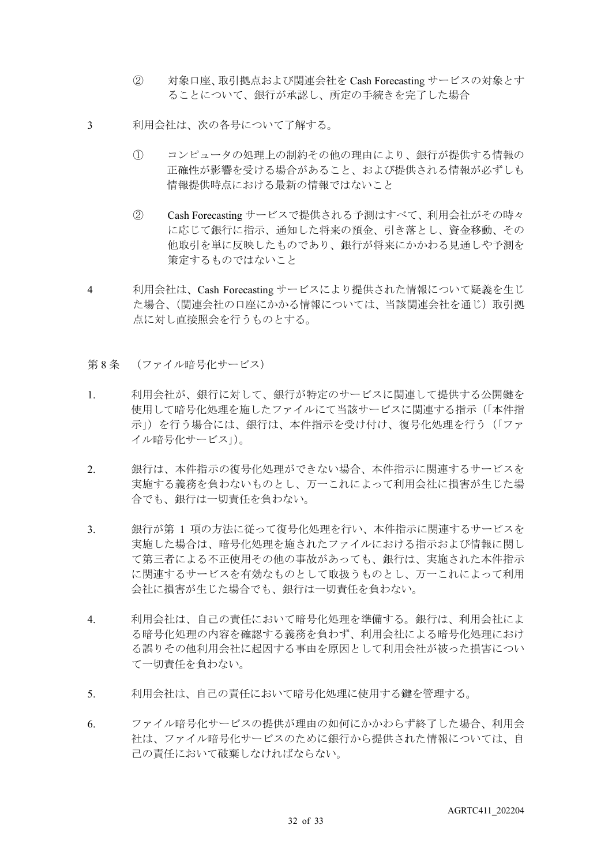- ② 対象口座、取引拠点および関連会社を Cash Forecasting サービスの対象とす ることについて、銀行が承認し、所定の手続きを完了した場合
- 3 利用会社は、次の各号について了解する。
	- ① コンピュータの処理上の制約その他の理由により、銀行が提供する情報の 正確性が影響を受ける場合があること、および提供される情報が必ずしも 情報提供時点における最新の情報ではないこと
	- ② Cash Forecasting サービスで提供される予測はすべて、利用会社がその時々 に応じて銀行に指示、通知した将来の預金、引き落とし、資金移動、その 他取引を単に反映したものであり、銀行が将来にかかわる見通しや予測を 策定するものではないこと
- 4 利用会社は、Cash Forecasting サービスにより提供された情報について疑義を生じ た場合、(関連会社の口座にかかる情報については、当該関連会社を通じ)取引拠 点に対し直接照会を行うものとする。
- 第8条 (ファイル暗号化サービス)
- 1. 利用会社が、銀行に対して、銀行が特定のサービスに関連して提供する公開鍵を 使用して暗号化処理を施したファイルにて当該サービスに関連する指示(「本件指 示」)を行う場合には、銀行は、本件指示を受け付け、復号化処理を行う(「ファ イル暗号化サービス」)。
- 2. 銀行は、本件指示の復号化処理ができない場合、本件指示に関連するサービスを 実施する義務を負わないものとし、万一これによって利用会社に損害が生じた場 合でも、銀行は一切責任を負わない。
- 3. 観行が第 1 項の方法に従って復号化処理を行い、本件指示に関連するサービスを 実施した場合は、暗号化処理を施されたファイルにおける指示および情報に関し て第三者による不正使用その他の事故があっても、銀行は、実施された本件指示 に関連するサービスを有効なものとして取扱うものとし、万一これによって利用 会社に損害が生じた場合でも、銀行は一切責任を負わない。
- 4. 利用会社は、自己の責任において暗号化処理を準備する。銀行は、利用会社によ る暗号化処理の内容を確認する義務を負わず、利用会社による暗号化処理におけ る誤りその他利用会社に起因する事由を原因として利用会社が被った損害につい て一切責任を負わない。
- 5. 利用会社は、自己の責任において暗号化処理に使用する鍵を管理する。
- 6. ファイル暗号化サービスの提供が理由の如何にかかわらず終了した場合、利用会 社は、ファイル暗号化サービスのために銀行から提供された情報については、自 己の責任において破棄しなければならない。